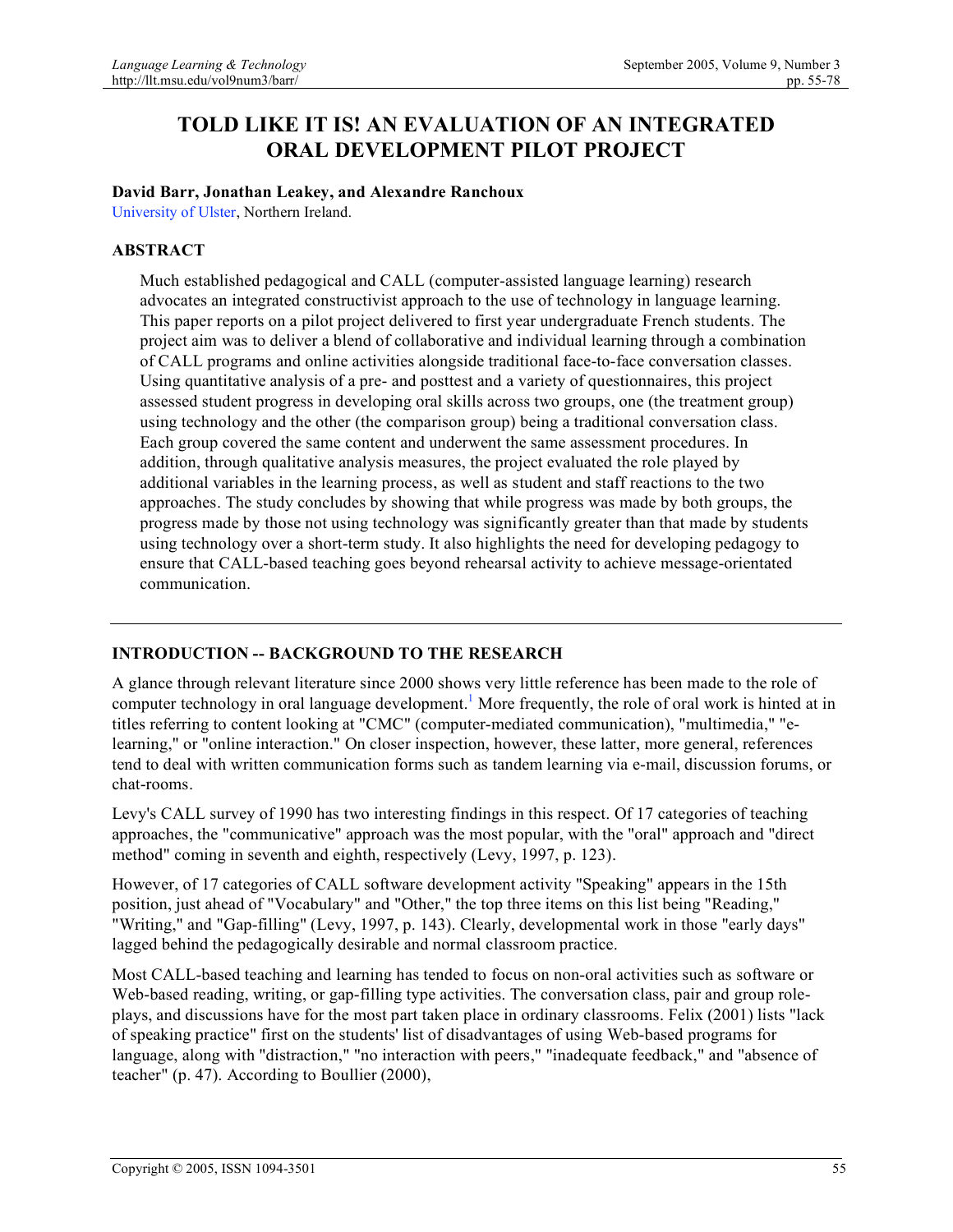# **TOLD LIKE IT IS! AN EVALUATION OF AN INTEGRATED ORAL DEVELOPMENT PILOT PROJECT**

### **David Barr, Jonathan Leakey, and Alexandre Ranchoux**

University of Ulster, Northern Ireland.

### **ABSTRACT**

Much established pedagogical and CALL (computer-assisted language learning) research advocates an integrated constructivist approach to the use of technology in language learning. This paper reports on a pilot project delivered to first year undergraduate French students. The project aim was to deliver a blend of collaborative and individual learning through a combination of CALL programs and online activities alongside traditional face-to-face conversation classes. Using quantitative analysis of a pre- and posttest and a variety of questionnaires, this project assessed student progress in developing oral skills across two groups, one (the treatment group) using technology and the other (the comparison group) being a traditional conversation class. Each group covered the same content and underwent the same assessment procedures. In addition, through qualitative analysis measures, the project evaluated the role played by additional variables in the learning process, as well as student and staff reactions to the two approaches. The study concludes by showing that while progress was made by both groups, the progress made by those not using technology was significantly greater than that made by students using technology over a short-term study. It also highlights the need for developing pedagogy to ensure that CALL-based teaching goes beyond rehearsal activity to achieve message-orientated communication.

### **INTRODUCTION -- BACKGROUND TO THE RESEARCH**

A glance through relevant literature since 2000 shows very little reference has been made to the role of computer technology in oral language development.<sup>1</sup> More frequently, the role of oral work is hinted at in titles referring to content looking at "CMC" (computer-mediated communication), "multimedia," "elearning," or "online interaction." On closer inspection, however, these latter, more general, references tend to deal with written communication forms such as tandem learning via e-mail, discussion forums, or chat-rooms.

Levy's CALL survey of 1990 has two interesting findings in this respect. Of 17 categories of teaching approaches, the "communicative" approach was the most popular, with the "oral" approach and "direct method" coming in seventh and eighth, respectively (Levy, 1997, p. 123).

However, of 17 categories of CALL software development activity "Speaking" appears in the 15th position, just ahead of "Vocabulary" and "Other," the top three items on this list being "Reading," "Writing," and "Gap-filling" (Levy, 1997, p. 143). Clearly, developmental work in those "early days" lagged behind the pedagogically desirable and normal classroom practice.

Most CALL-based teaching and learning has tended to focus on non-oral activities such as software or Web-based reading, writing, or gap-filling type activities. The conversation class, pair and group roleplays, and discussions have for the most part taken place in ordinary classrooms. Felix (2001) lists "lack of speaking practice" first on the students' list of disadvantages of using Web-based programs for language, along with "distraction," "no interaction with peers," "inadequate feedback," and "absence of teacher" (p. 47). According to Boullier (2000),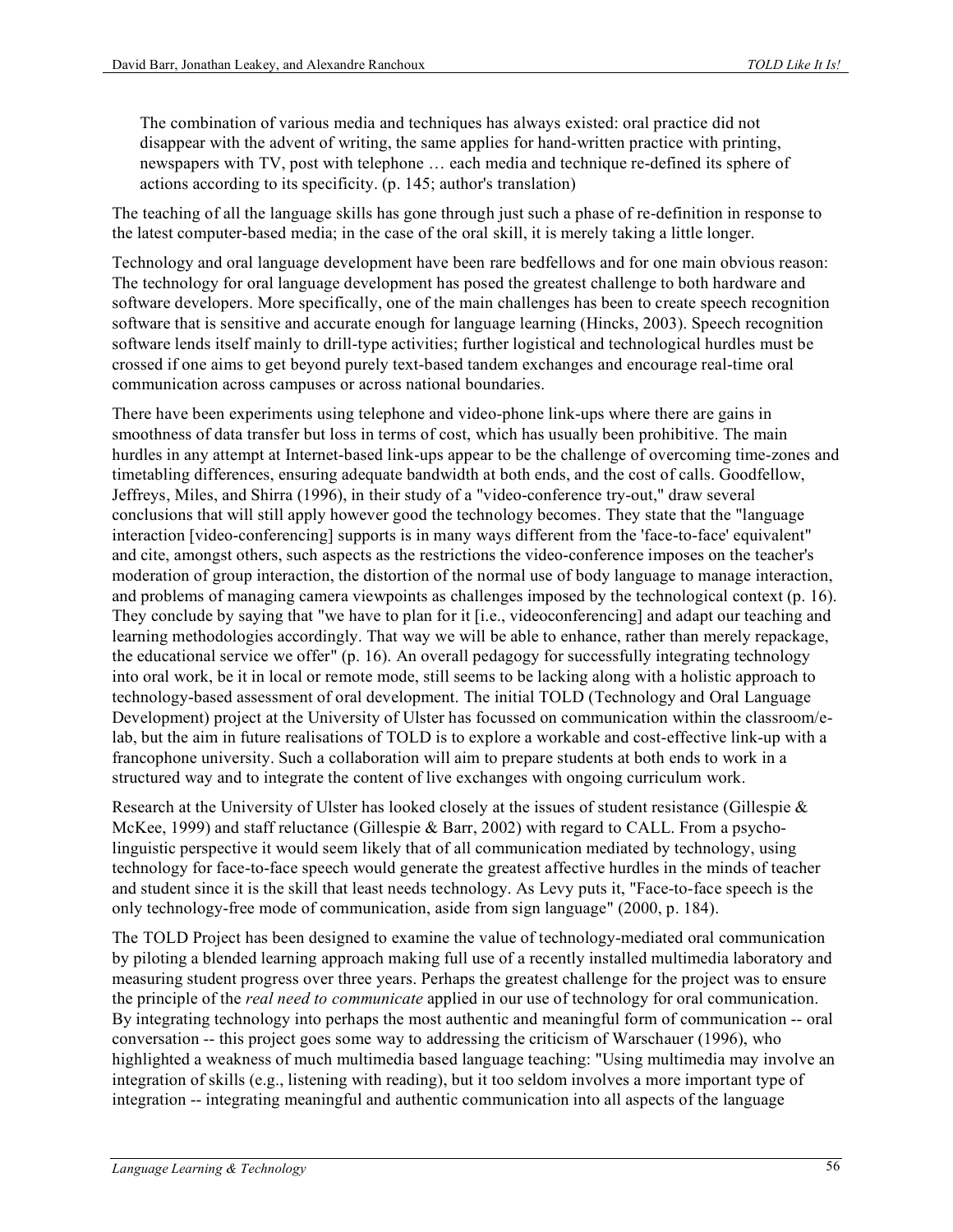The combination of various media and techniques has always existed: oral practice did not disappear with the advent of writing, the same applies for hand-written practice with printing, newspapers with TV, post with telephone … each media and technique re-defined its sphere of actions according to its specificity. (p. 145; author's translation)

The teaching of all the language skills has gone through just such a phase of re-definition in response to the latest computer-based media; in the case of the oral skill, it is merely taking a little longer.

Technology and oral language development have been rare bedfellows and for one main obvious reason: The technology for oral language development has posed the greatest challenge to both hardware and software developers. More specifically, one of the main challenges has been to create speech recognition software that is sensitive and accurate enough for language learning (Hincks, 2003). Speech recognition software lends itself mainly to drill-type activities; further logistical and technological hurdles must be crossed if one aims to get beyond purely text-based tandem exchanges and encourage real-time oral communication across campuses or across national boundaries.

There have been experiments using telephone and video-phone link-ups where there are gains in smoothness of data transfer but loss in terms of cost, which has usually been prohibitive. The main hurdles in any attempt at Internet-based link-ups appear to be the challenge of overcoming time-zones and timetabling differences, ensuring adequate bandwidth at both ends, and the cost of calls. Goodfellow, Jeffreys, Miles, and Shirra (1996), in their study of a "video-conference try-out," draw several conclusions that will still apply however good the technology becomes. They state that the "language interaction [video-conferencing] supports is in many ways different from the 'face-to-face' equivalent" and cite, amongst others, such aspects as the restrictions the video-conference imposes on the teacher's moderation of group interaction, the distortion of the normal use of body language to manage interaction, and problems of managing camera viewpoints as challenges imposed by the technological context (p. 16). They conclude by saying that "we have to plan for it [i.e., videoconferencing] and adapt our teaching and learning methodologies accordingly. That way we will be able to enhance, rather than merely repackage, the educational service we offer" (p. 16). An overall pedagogy for successfully integrating technology into oral work, be it in local or remote mode, still seems to be lacking along with a holistic approach to technology-based assessment of oral development. The initial TOLD (Technology and Oral Language Development) project at the University of Ulster has focussed on communication within the classroom/elab, but the aim in future realisations of TOLD is to explore a workable and cost-effective link-up with a francophone university. Such a collaboration will aim to prepare students at both ends to work in a structured way and to integrate the content of live exchanges with ongoing curriculum work.

Research at the University of Ulster has looked closely at the issues of student resistance (Gillespie  $\&$ McKee, 1999) and staff reluctance (Gillespie & Barr, 2002) with regard to CALL. From a psycholinguistic perspective it would seem likely that of all communication mediated by technology, using technology for face-to-face speech would generate the greatest affective hurdles in the minds of teacher and student since it is the skill that least needs technology. As Levy puts it, "Face-to-face speech is the only technology-free mode of communication, aside from sign language" (2000, p. 184).

The TOLD Project has been designed to examine the value of technology-mediated oral communication by piloting a blended learning approach making full use of a recently installed multimedia laboratory and measuring student progress over three years. Perhaps the greatest challenge for the project was to ensure the principle of the *real need to communicate* applied in our use of technology for oral communication. By integrating technology into perhaps the most authentic and meaningful form of communication -- oral conversation -- this project goes some way to addressing the criticism of Warschauer (1996), who highlighted a weakness of much multimedia based language teaching: "Using multimedia may involve an integration of skills (e.g., listening with reading), but it too seldom involves a more important type of integration -- integrating meaningful and authentic communication into all aspects of the language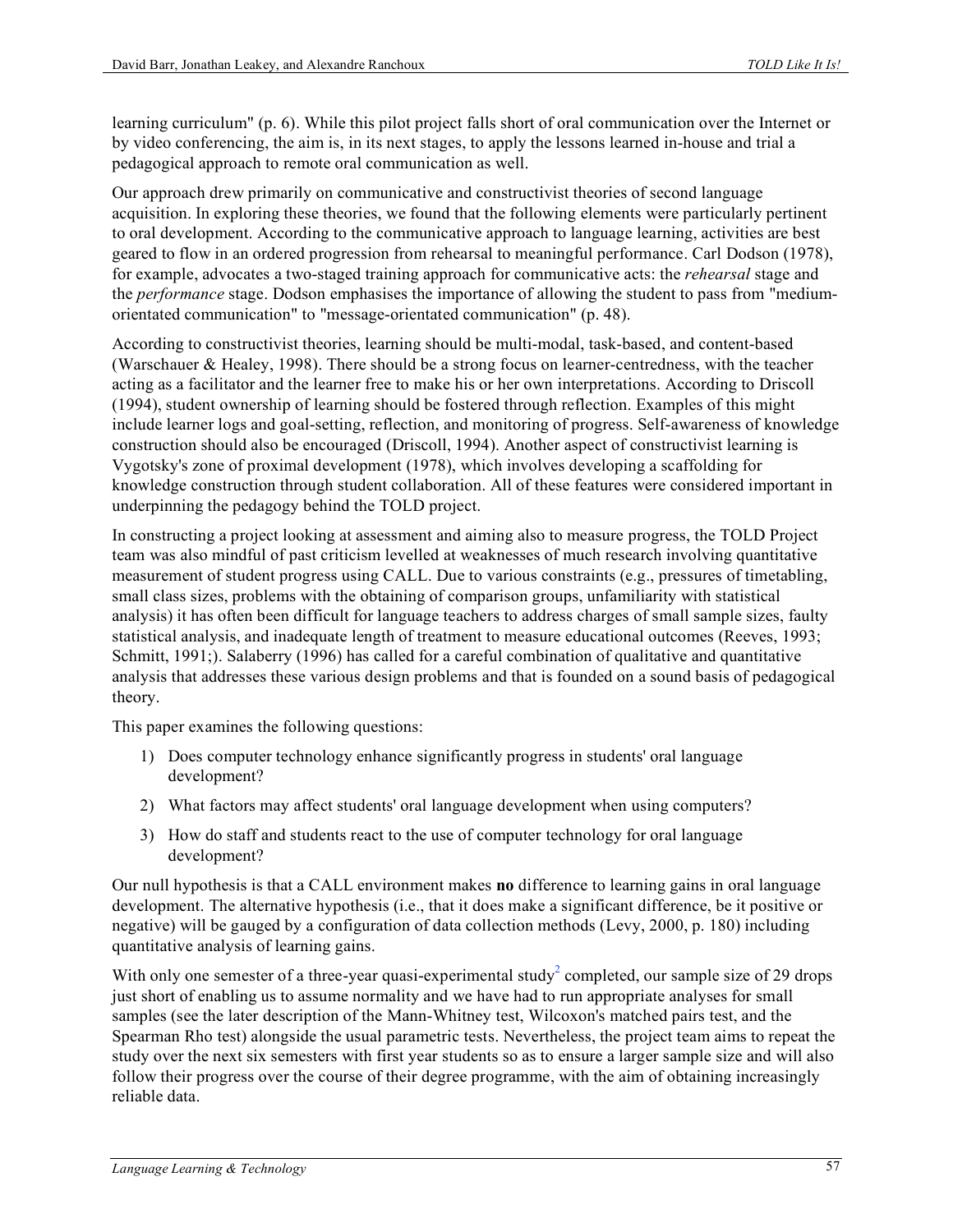learning curriculum" (p. 6). While this pilot project falls short of oral communication over the Internet or by video conferencing, the aim is, in its next stages, to apply the lessons learned in-house and trial a pedagogical approach to remote oral communication as well.

Our approach drew primarily on communicative and constructivist theories of second language acquisition. In exploring these theories, we found that the following elements were particularly pertinent to oral development. According to the communicative approach to language learning, activities are best geared to flow in an ordered progression from rehearsal to meaningful performance. Carl Dodson (1978), for example, advocates a two-staged training approach for communicative acts: the *rehearsal* stage and the *performance* stage. Dodson emphasises the importance of allowing the student to pass from "mediumorientated communication" to "message-orientated communication" (p. 48).

According to constructivist theories, learning should be multi-modal, task-based, and content-based (Warschauer & Healey, 1998). There should be a strong focus on learner-centredness, with the teacher acting as a facilitator and the learner free to make his or her own interpretations. According to Driscoll (1994), student ownership of learning should be fostered through reflection. Examples of this might include learner logs and goal-setting, reflection, and monitoring of progress. Self-awareness of knowledge construction should also be encouraged (Driscoll, 1994). Another aspect of constructivist learning is Vygotsky's zone of proximal development (1978), which involves developing a scaffolding for knowledge construction through student collaboration. All of these features were considered important in underpinning the pedagogy behind the TOLD project.

In constructing a project looking at assessment and aiming also to measure progress, the TOLD Project team was also mindful of past criticism levelled at weaknesses of much research involving quantitative measurement of student progress using CALL. Due to various constraints (e.g., pressures of timetabling, small class sizes, problems with the obtaining of comparison groups, unfamiliarity with statistical analysis) it has often been difficult for language teachers to address charges of small sample sizes, faulty statistical analysis, and inadequate length of treatment to measure educational outcomes (Reeves, 1993; Schmitt, 1991;). Salaberry (1996) has called for a careful combination of qualitative and quantitative analysis that addresses these various design problems and that is founded on a sound basis of pedagogical theory.

This paper examines the following questions:

- 1) Does computer technology enhance significantly progress in students' oral language development?
- 2) What factors may affect students' oral language development when using computers?
- 3) How do staff and students react to the use of computer technology for oral language development?

Our null hypothesis is that a CALL environment makes **no** difference to learning gains in oral language development. The alternative hypothesis (i.e., that it does make a significant difference, be it positive or negative) will be gauged by a configuration of data collection methods (Levy, 2000, p. 180) including quantitative analysis of learning gains.

With only one semester of a three-year quasi-experimental study<sup>2</sup> completed, our sample size of 29 drops just short of enabling us to assume normality and we have had to run appropriate analyses for small samples (see the later description of the Mann-Whitney test, Wilcoxon's matched pairs test, and the Spearman Rho test) alongside the usual parametric tests. Nevertheless, the project team aims to repeat the study over the next six semesters with first year students so as to ensure a larger sample size and will also follow their progress over the course of their degree programme, with the aim of obtaining increasingly reliable data.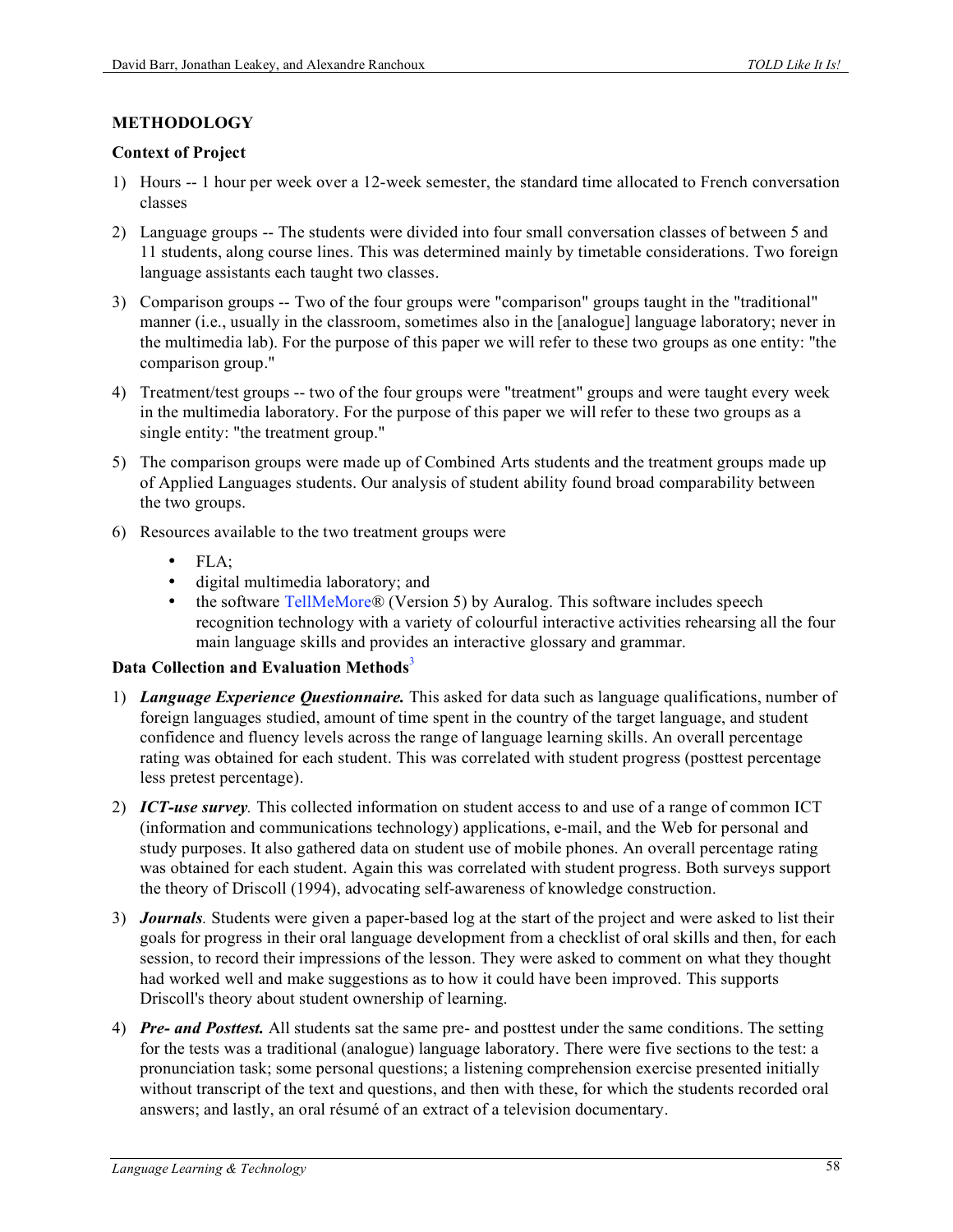### **METHODOLOGY**

#### **Context of Project**

- 1) Hours -- 1 hour per week over a 12-week semester, the standard time allocated to French conversation classes
- 2) Language groups -- The students were divided into four small conversation classes of between 5 and 11 students, along course lines. This was determined mainly by timetable considerations. Two foreign language assistants each taught two classes.
- 3) Comparison groups -- Two of the four groups were "comparison" groups taught in the "traditional" manner (i.e., usually in the classroom, sometimes also in the [analogue] language laboratory; never in the multimedia lab). For the purpose of this paper we will refer to these two groups as one entity: "the comparison group."
- 4) Treatment/test groups -- two of the four groups were "treatment" groups and were taught every week in the multimedia laboratory. For the purpose of this paper we will refer to these two groups as a single entity: "the treatment group."
- 5) The comparison groups were made up of Combined Arts students and the treatment groups made up of Applied Languages students. Our analysis of student ability found broad comparability between the two groups.
- 6) Resources available to the two treatment groups were
	- FLA;
	- digital multimedia laboratory; and
	- the software TellMeMore® (Version 5) by Auralog. This software includes speech recognition technology with a variety of colourful interactive activities rehearsing all the four main language skills and provides an interactive glossary and grammar.

### **Data Collection and Evaluation Methods**<sup>3</sup>

- 1) *Language Experience Questionnaire.* This asked for data such as language qualifications, number of foreign languages studied, amount of time spent in the country of the target language, and student confidence and fluency levels across the range of language learning skills. An overall percentage rating was obtained for each student. This was correlated with student progress (posttest percentage less pretest percentage).
- 2) *ICT-use survey.* This collected information on student access to and use of a range of common ICT (information and communications technology) applications, e-mail, and the Web for personal and study purposes. It also gathered data on student use of mobile phones. An overall percentage rating was obtained for each student. Again this was correlated with student progress. Both surveys support the theory of Driscoll (1994), advocating self-awareness of knowledge construction.
- 3) *Journals.* Students were given a paper-based log at the start of the project and were asked to list their goals for progress in their oral language development from a checklist of oral skills and then, for each session, to record their impressions of the lesson. They were asked to comment on what they thought had worked well and make suggestions as to how it could have been improved. This supports Driscoll's theory about student ownership of learning.
- 4) *Pre- and Posttest.* All students sat the same pre- and posttest under the same conditions. The setting for the tests was a traditional (analogue) language laboratory. There were five sections to the test: a pronunciation task; some personal questions; a listening comprehension exercise presented initially without transcript of the text and questions, and then with these, for which the students recorded oral answers; and lastly, an oral résumé of an extract of a television documentary.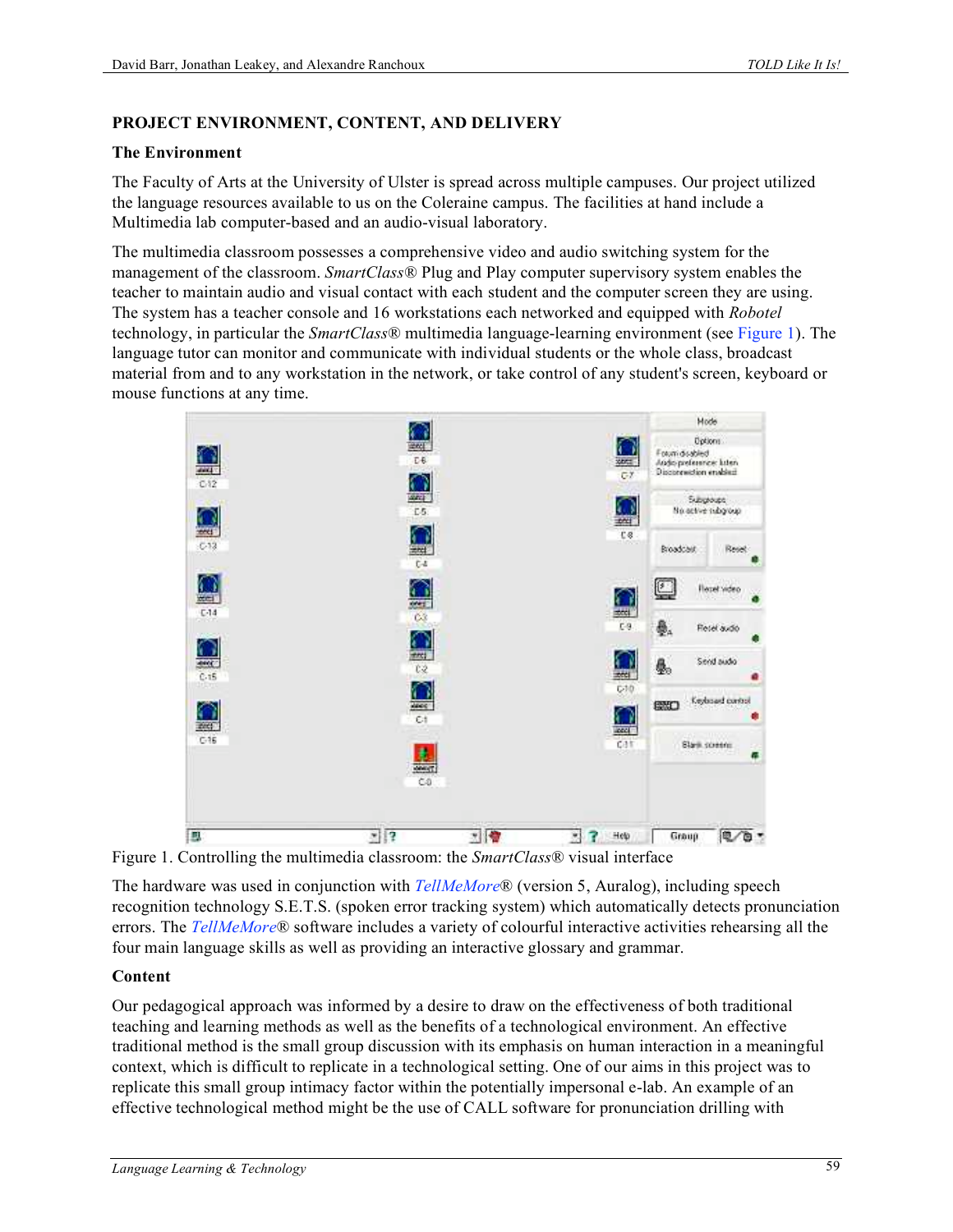### **PROJECT ENVIRONMENT, CONTENT, AND DELIVERY**

#### **The Environment**

The Faculty of Arts at the University of Ulster is spread across multiple campuses. Our project utilized the language resources available to us on the Coleraine campus. The facilities at hand include a Multimedia lab computer-based and an audio-visual laboratory.

The multimedia classroom possesses a comprehensive video and audio switching system for the management of the classroom. *SmartClass*® Plug and Play computer supervisory system enables the teacher to maintain audio and visual contact with each student and the computer screen they are using. The system has a teacher console and 16 workstations each networked and equipped with *Robotel* technology, in particular the *SmartClass*® multimedia language-learning environment (see Figure 1). The language tutor can monitor and communicate with individual students or the whole class, broadcast material from and to any workstation in the network, or take control of any student's screen, keyboard or mouse functions at any time.



Figure 1. Controlling the multimedia classroom: the *SmartClass*® visual interface

The hardware was used in conjunction with *TellMeMore*® (version 5, Auralog), including speech recognition technology S.E.T.S. (spoken error tracking system) which automatically detects pronunciation errors. The *TellMeMore*® software includes a variety of colourful interactive activities rehearsing all the four main language skills as well as providing an interactive glossary and grammar.

#### **Content**

Our pedagogical approach was informed by a desire to draw on the effectiveness of both traditional teaching and learning methods as well as the benefits of a technological environment. An effective traditional method is the small group discussion with its emphasis on human interaction in a meaningful context, which is difficult to replicate in a technological setting. One of our aims in this project was to replicate this small group intimacy factor within the potentially impersonal e-lab. An example of an effective technological method might be the use of CALL software for pronunciation drilling with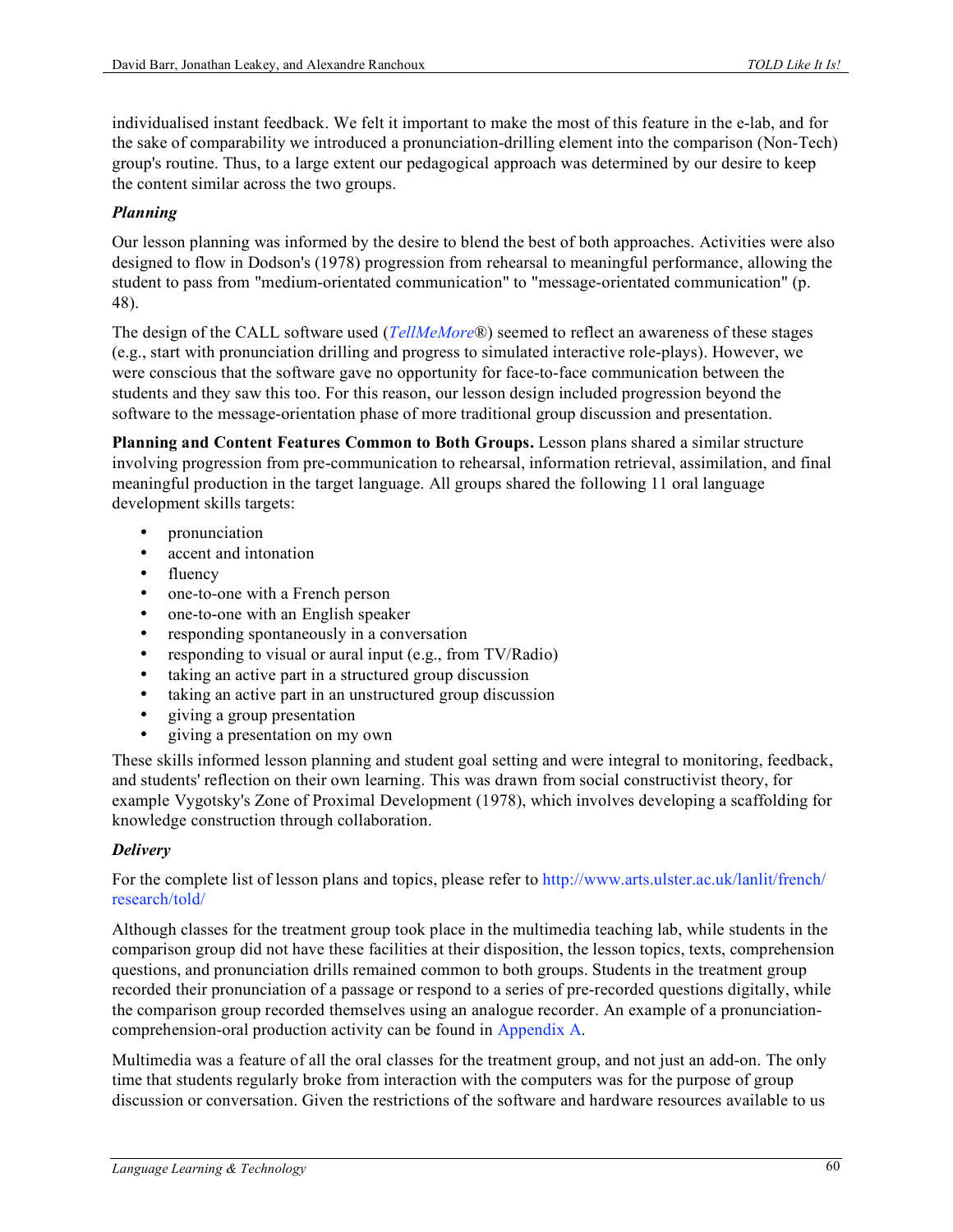individualised instant feedback. We felt it important to make the most of this feature in the e-lab, and for the sake of comparability we introduced a pronunciation-drilling element into the comparison (Non-Tech) group's routine. Thus, to a large extent our pedagogical approach was determined by our desire to keep the content similar across the two groups.

### *Planning*

Our lesson planning was informed by the desire to blend the best of both approaches. Activities were also designed to flow in Dodson's (1978) progression from rehearsal to meaningful performance, allowing the student to pass from "medium-orientated communication" to "message-orientated communication" (p. 48).

The design of the CALL software used (*TellMeMore*®) seemed to reflect an awareness of these stages (e.g., start with pronunciation drilling and progress to simulated interactive role-plays). However, we were conscious that the software gave no opportunity for face-to-face communication between the students and they saw this too. For this reason, our lesson design included progression beyond the software to the message-orientation phase of more traditional group discussion and presentation.

**Planning and Content Features Common to Both Groups.** Lesson plans shared a similar structure involving progression from pre-communication to rehearsal, information retrieval, assimilation, and final meaningful production in the target language. All groups shared the following 11 oral language development skills targets:

- pronunciation
- accent and intonation<br>• fluency
- fluency
- one-to-one with a French person
- one-to-one with an English speaker
- responding spontaneously in a conversation
- responding to visual or aural input (e.g., from TV/Radio)
- taking an active part in a structured group discussion
- taking an active part in an unstructured group discussion
- giving a group presentation
- giving a presentation on my own

These skills informed lesson planning and student goal setting and were integral to monitoring, feedback, and students' reflection on their own learning. This was drawn from social constructivist theory, for example Vygotsky's Zone of Proximal Development (1978), which involves developing a scaffolding for knowledge construction through collaboration.

#### *Delivery*

#### For the complete list of lesson plans and topics, please refer to http://www.arts.ulster.ac.uk/lanlit/french/ research/told/

Although classes for the treatment group took place in the multimedia teaching lab, while students in the comparison group did not have these facilities at their disposition, the lesson topics, texts, comprehension questions, and pronunciation drills remained common to both groups. Students in the treatment group recorded their pronunciation of a passage or respond to a series of pre-recorded questions digitally, while the comparison group recorded themselves using an analogue recorder. An example of a pronunciationcomprehension-oral production activity can be found in Appendix A.

Multimedia was a feature of all the oral classes for the treatment group, and not just an add-on. The only time that students regularly broke from interaction with the computers was for the purpose of group discussion or conversation. Given the restrictions of the software and hardware resources available to us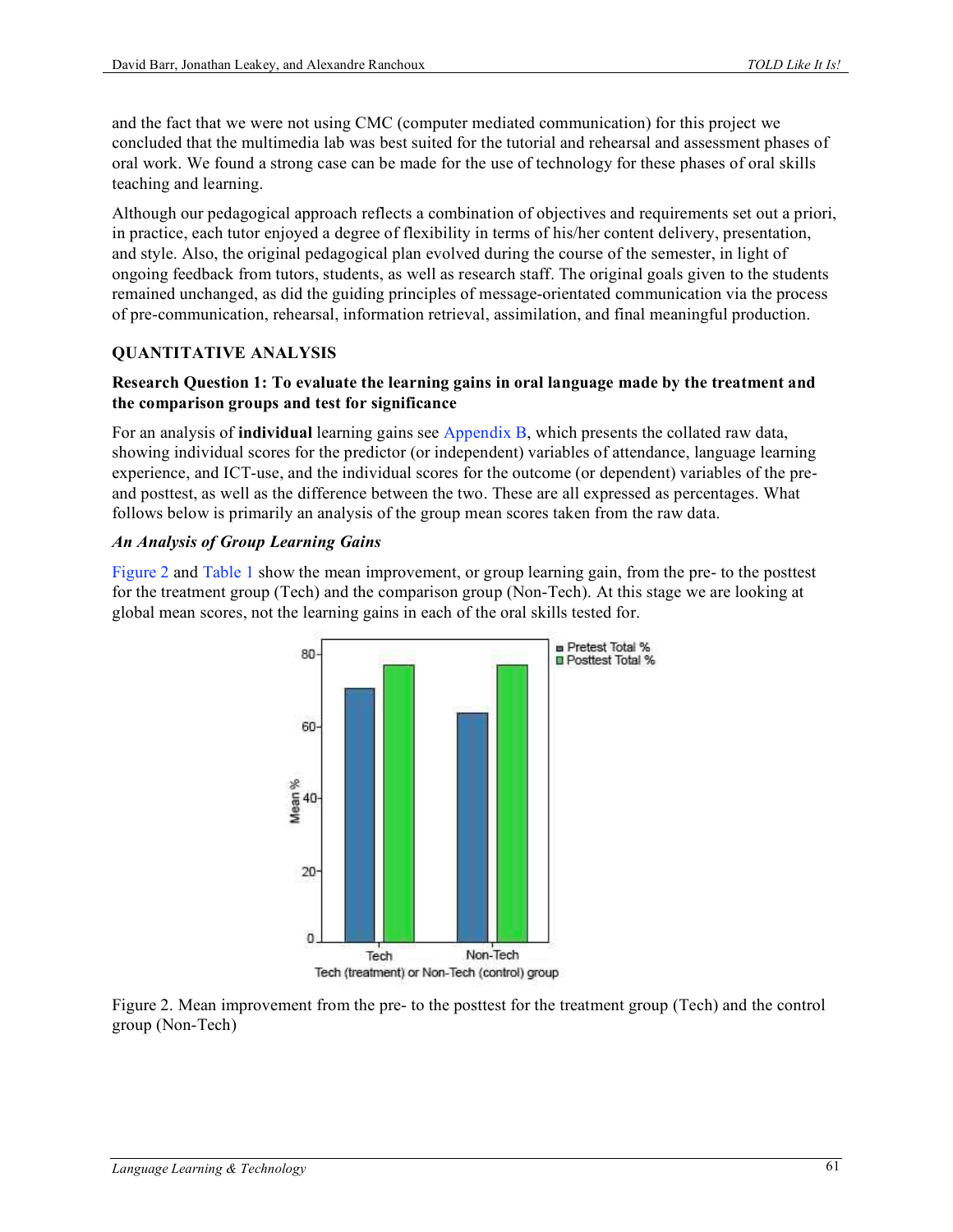and the fact that we were not using CMC (computer mediated communication) for this project we concluded that the multimedia lab was best suited for the tutorial and rehearsal and assessment phases of oral work. We found a strong case can be made for the use of technology for these phases of oral skills teaching and learning.

Although our pedagogical approach reflects a combination of objectives and requirements set out a priori, in practice, each tutor enjoyed a degree of flexibility in terms of his/her content delivery, presentation, and style. Also, the original pedagogical plan evolved during the course of the semester, in light of ongoing feedback from tutors, students, as well as research staff. The original goals given to the students remained unchanged, as did the guiding principles of message-orientated communication via the process of pre-communication, rehearsal, information retrieval, assimilation, and final meaningful production.

### **QUANTITATIVE ANALYSIS**

#### **Research Question 1: To evaluate the learning gains in oral language made by the treatment and the comparison groups and test for significance**

For an analysis of **individual** learning gains see Appendix B, which presents the collated raw data, showing individual scores for the predictor (or independent) variables of attendance, language learning experience, and ICT-use, and the individual scores for the outcome (or dependent) variables of the preand posttest, as well as the difference between the two. These are all expressed as percentages. What follows below is primarily an analysis of the group mean scores taken from the raw data.

#### *An Analysis of Group Learning Gains*

Figure 2 and Table 1 show the mean improvement, or group learning gain, from the pre- to the posttest for the treatment group (Tech) and the comparison group (Non-Tech). At this stage we are looking at global mean scores, not the learning gains in each of the oral skills tested for.



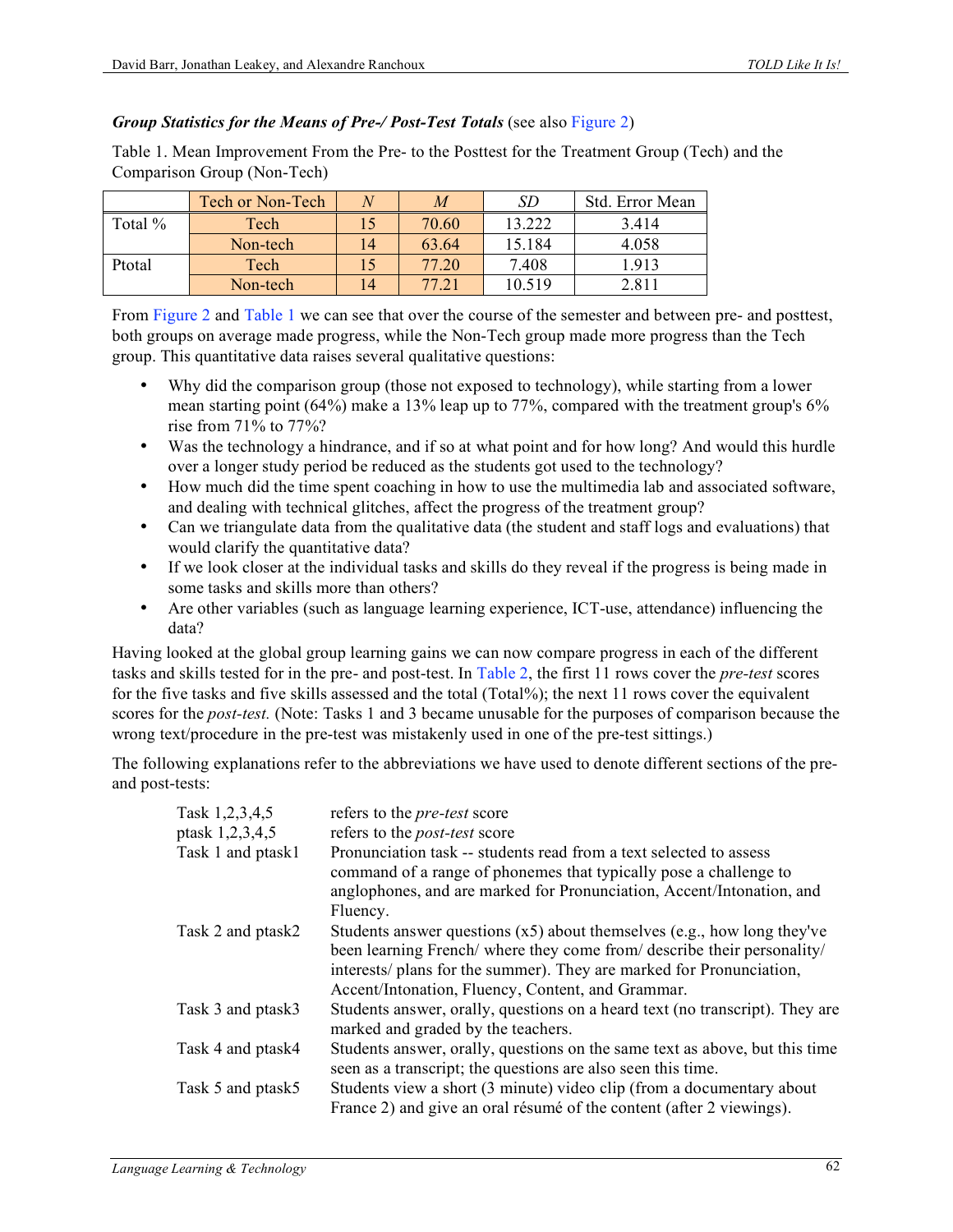### *Group Statistics for the Means of Pre-/ Post-Test Totals* (see also Figure 2)

Table 1. Mean Improvement From the Pre- to the Posttest for the Treatment Group (Tech) and the Comparison Group (Non-Tech)

|         | <b>Tech or Non-Tech</b> |    | M              | SD     | Std. Error Mean |
|---------|-------------------------|----|----------------|--------|-----------------|
| Total % | Tech                    |    | 70.60          | 13.222 | 3.414           |
|         | Non-tech                | 14 | 63.64          | 15.184 | 4.058           |
| Ptotal  | Tech                    |    | 77.20          | 7.408  | .913            |
|         | Non-tech                | 14 | $77.2^{\circ}$ | 10.519 | 2.811           |

From Figure 2 and Table 1 we can see that over the course of the semester and between pre- and posttest, both groups on average made progress, while the Non-Tech group made more progress than the Tech group. This quantitative data raises several qualitative questions:

- Why did the comparison group (those not exposed to technology), while starting from a lower mean starting point (64%) make a 13% leap up to 77%, compared with the treatment group's 6% rise from 71% to 77%?
- Was the technology a hindrance, and if so at what point and for how long? And would this hurdle over a longer study period be reduced as the students got used to the technology?
- How much did the time spent coaching in how to use the multimedia lab and associated software, and dealing with technical glitches, affect the progress of the treatment group?
- Can we triangulate data from the qualitative data (the student and staff logs and evaluations) that would clarify the quantitative data?
- If we look closer at the individual tasks and skills do they reveal if the progress is being made in some tasks and skills more than others?
- Are other variables (such as language learning experience, ICT-use, attendance) influencing the data?

Having looked at the global group learning gains we can now compare progress in each of the different tasks and skills tested for in the pre- and post-test. In Table 2, the first 11 rows cover the *pre-test* scores for the five tasks and five skills assessed and the total (Total%); the next 11 rows cover the equivalent scores for the *post-test.* (Note: Tasks 1 and 3 became unusable for the purposes of comparison because the wrong text/procedure in the pre-test was mistakenly used in one of the pre-test sittings.)

The following explanations refer to the abbreviations we have used to denote different sections of the preand post-tests:

| Task 1,2,3,4,5    | refers to the <i>pre-test</i> score                                          |
|-------------------|------------------------------------------------------------------------------|
| ptask 1,2,3,4,5   | refers to the <i>post-test</i> score                                         |
| Task 1 and ptask1 | Pronunciation task -- students read from a text selected to assess           |
|                   | command of a range of phonemes that typically pose a challenge to            |
|                   | anglophones, and are marked for Pronunciation, Accent/Intonation, and        |
|                   | Fluency.                                                                     |
| Task 2 and ptask2 | Students answer questions $(x5)$ about themselves $(e.g., how long they've$  |
|                   | been learning French/ where they come from/ describe their personality/      |
|                   | interests/ plans for the summer). They are marked for Pronunciation,         |
|                   | Accent/Intonation, Fluency, Content, and Grammar.                            |
| Task 3 and ptask3 | Students answer, orally, questions on a heard text (no transcript). They are |
|                   | marked and graded by the teachers.                                           |
| Task 4 and ptask4 | Students answer, orally, questions on the same text as above, but this time  |
|                   | seen as a transcript; the questions are also seen this time.                 |
| Task 5 and ptask5 | Students view a short (3 minute) video clip (from a documentary about        |
|                   | France 2) and give an oral résumé of the content (after 2 viewings).         |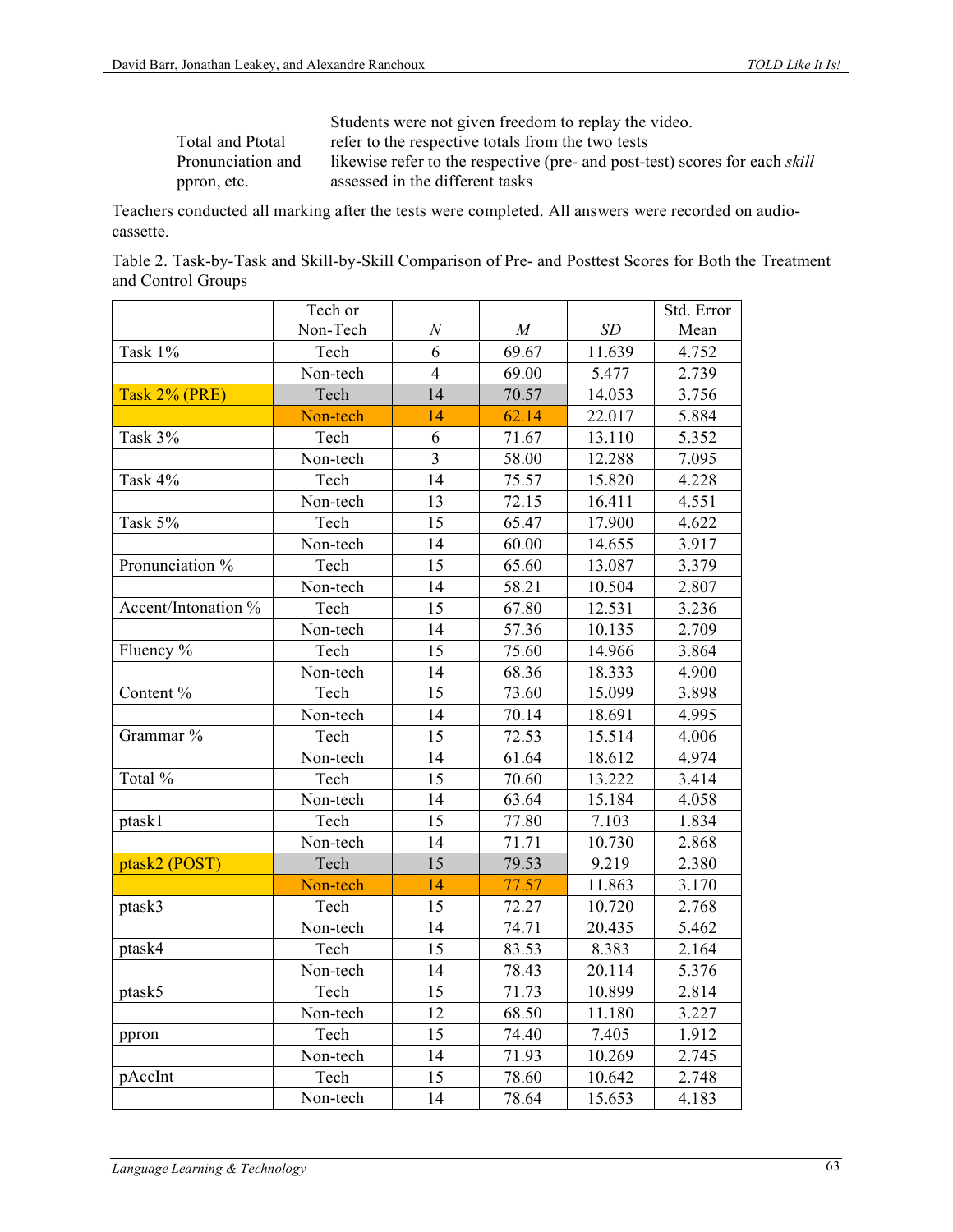|                   | Students were not given freedom to replay the video.                               |
|-------------------|------------------------------------------------------------------------------------|
| Total and Ptotal  | refer to the respective totals from the two tests                                  |
| Pronunciation and | likewise refer to the respective (pre- and post-test) scores for each <i>skill</i> |
| ppron, etc.       | assessed in the different tasks                                                    |

Teachers conducted all marking after the tests were completed. All answers were recorded on audiocassette.

| Table 2. Task-by-Task and Skill-by-Skill Comparison of Pre- and Posttest Scores for Both the Treatment |  |  |  |  |  |
|--------------------------------------------------------------------------------------------------------|--|--|--|--|--|
| and Control Groups                                                                                     |  |  |  |  |  |

|                     | Tech or  |                  |       |        | Std. Error |
|---------------------|----------|------------------|-------|--------|------------|
|                     | Non-Tech | $\boldsymbol{N}$ | M     | SD     | Mean       |
| Task 1%             | Tech     | 6                | 69.67 | 11.639 | 4.752      |
|                     | Non-tech | $\overline{4}$   | 69.00 | 5.477  | 2.739      |
| Task 2% (PRE)       | Tech     | 14               | 70.57 | 14.053 | 3.756      |
|                     | Non-tech | 14               | 62.14 | 22.017 | 5.884      |
| Task 3%             | Tech     | 6                | 71.67 | 13.110 | 5.352      |
|                     | Non-tech | 3                | 58.00 | 12.288 | 7.095      |
| Task 4%             | Tech     | 14               | 75.57 | 15.820 | 4.228      |
|                     | Non-tech | 13               | 72.15 | 16.411 | 4.551      |
| Task 5%             | Tech     | 15               | 65.47 | 17.900 | 4.622      |
|                     | Non-tech | 14               | 60.00 | 14.655 | 3.917      |
| Pronunciation %     | Tech     | 15               | 65.60 | 13.087 | 3.379      |
|                     | Non-tech | 14               | 58.21 | 10.504 | 2.807      |
| Accent/Intonation % | Tech     | 15               | 67.80 | 12.531 | 3.236      |
|                     | Non-tech | 14               | 57.36 | 10.135 | 2.709      |
| Fluency %           | Tech     | 15               | 75.60 | 14.966 | 3.864      |
|                     | Non-tech | 14               | 68.36 | 18.333 | 4.900      |
| Content %           | Tech     | 15               | 73.60 | 15.099 | 3.898      |
|                     | Non-tech | 14               | 70.14 | 18.691 | 4.995      |
| Grammar %           | Tech     | 15               | 72.53 | 15.514 | 4.006      |
|                     | Non-tech | 14               | 61.64 | 18.612 | 4.974      |
| Total %             | Tech     | 15               | 70.60 | 13.222 | 3.414      |
|                     | Non-tech | 14               | 63.64 | 15.184 | 4.058      |
| ptask1              | Tech     | 15               | 77.80 | 7.103  | 1.834      |
|                     | Non-tech | 14               | 71.71 | 10.730 | 2.868      |
| ptask2 (POST)       | Tech     | 15               | 79.53 | 9.219  | 2.380      |
|                     | Non-tech | 14               | 77.57 | 11.863 | 3.170      |
| ptask3              | Tech     | 15               | 72.27 | 10.720 | 2.768      |
|                     | Non-tech | 14               | 74.71 | 20.435 | 5.462      |
| ptask4              | Tech     | 15               | 83.53 | 8.383  | 2.164      |
|                     | Non-tech | 14               | 78.43 | 20.114 | 5.376      |
| ptask5              | Tech     | 15               | 71.73 | 10.899 | 2.814      |
|                     | Non-tech | 12               | 68.50 | 11.180 | 3.227      |
| ppron               | Tech     | 15               | 74.40 | 7.405  | 1.912      |
|                     | Non-tech | 14               | 71.93 | 10.269 | 2.745      |
| pAccInt             | Tech     | 15               | 78.60 | 10.642 | 2.748      |
|                     | Non-tech | 14               | 78.64 | 15.653 | 4.183      |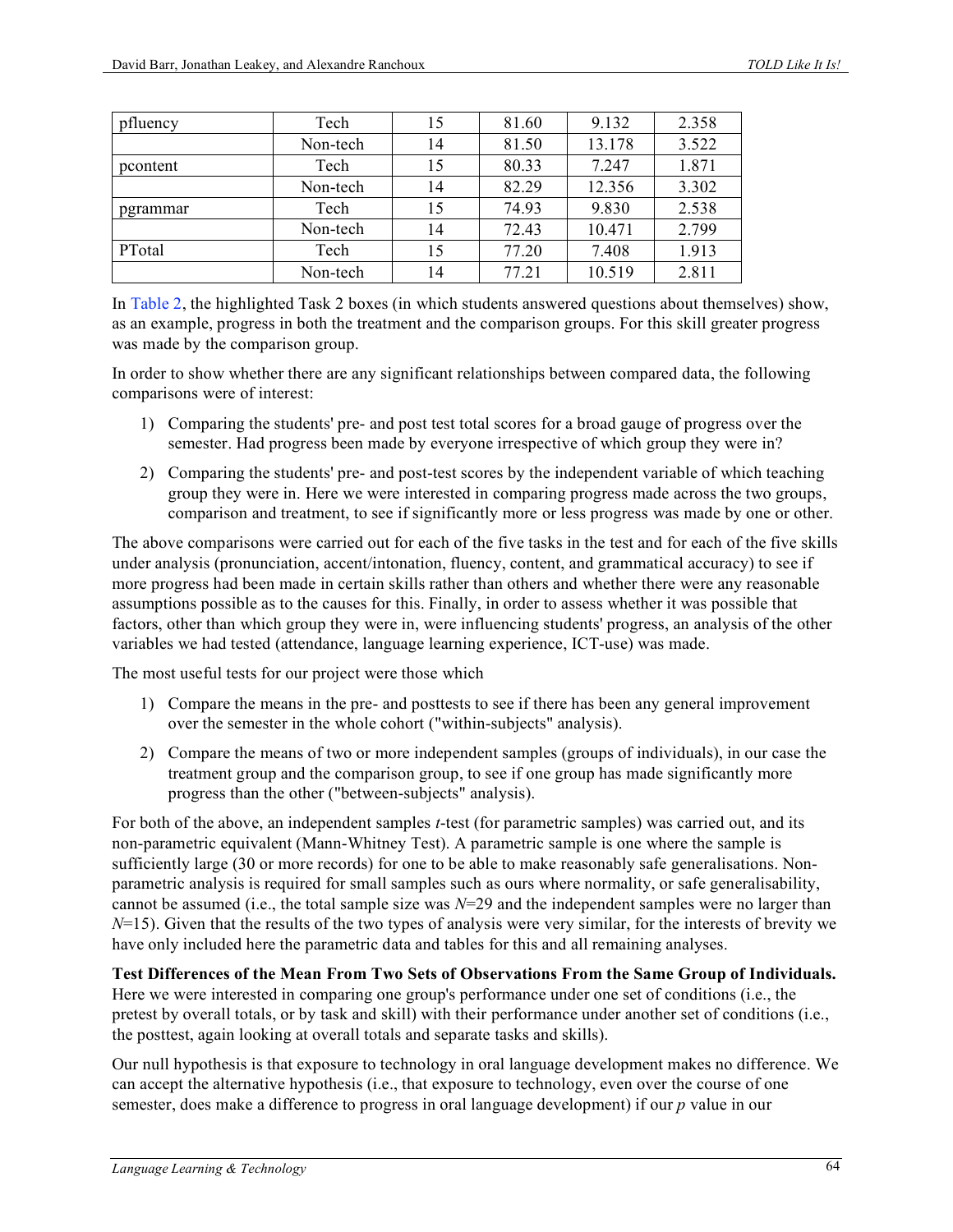| pfluency | Tech     | 15 | 81.60 | 9.132  | 2.358 |
|----------|----------|----|-------|--------|-------|
|          | Non-tech | 14 | 81.50 | 13.178 | 3.522 |
| pcontent | Tech     | 15 | 80.33 | 7.247  | 1.871 |
|          | Non-tech | 14 | 82.29 | 12.356 | 3.302 |
| pgrammar | Tech     | 15 | 74.93 | 9.830  | 2.538 |
|          | Non-tech | 14 | 72.43 | 10.471 | 2.799 |
| PTotal   | Tech     | 15 | 77.20 | 7.408  | 1.913 |
|          | Non-tech | 14 | 77.21 | 10.519 | 2.811 |

In Table 2, the highlighted Task 2 boxes (in which students answered questions about themselves) show, as an example, progress in both the treatment and the comparison groups. For this skill greater progress was made by the comparison group.

In order to show whether there are any significant relationships between compared data, the following comparisons were of interest:

- 1) Comparing the students' pre- and post test total scores for a broad gauge of progress over the semester. Had progress been made by everyone irrespective of which group they were in?
- 2) Comparing the students' pre- and post-test scores by the independent variable of which teaching group they were in. Here we were interested in comparing progress made across the two groups, comparison and treatment, to see if significantly more or less progress was made by one or other.

The above comparisons were carried out for each of the five tasks in the test and for each of the five skills under analysis (pronunciation, accent/intonation, fluency, content, and grammatical accuracy) to see if more progress had been made in certain skills rather than others and whether there were any reasonable assumptions possible as to the causes for this. Finally, in order to assess whether it was possible that factors, other than which group they were in, were influencing students' progress, an analysis of the other variables we had tested (attendance, language learning experience, ICT-use) was made.

The most useful tests for our project were those which

- 1) Compare the means in the pre- and posttests to see if there has been any general improvement over the semester in the whole cohort ("within-subjects" analysis).
- 2) Compare the means of two or more independent samples (groups of individuals), in our case the treatment group and the comparison group, to see if one group has made significantly more progress than the other ("between-subjects" analysis).

For both of the above, an independent samples *t*-test (for parametric samples) was carried out, and its non-parametric equivalent (Mann-Whitney Test). A parametric sample is one where the sample is sufficiently large (30 or more records) for one to be able to make reasonably safe generalisations. Nonparametric analysis is required for small samples such as ours where normality, or safe generalisability, cannot be assumed (i.e., the total sample size was *N*=29 and the independent samples were no larger than *N*=15). Given that the results of the two types of analysis were very similar, for the interests of brevity we have only included here the parametric data and tables for this and all remaining analyses.

**Test Differences of the Mean From Two Sets of Observations From the Same Group of Individuals.** Here we were interested in comparing one group's performance under one set of conditions (i.e., the pretest by overall totals, or by task and skill) with their performance under another set of conditions (i.e., the posttest, again looking at overall totals and separate tasks and skills).

Our null hypothesis is that exposure to technology in oral language development makes no difference. We can accept the alternative hypothesis (i.e., that exposure to technology, even over the course of one semester, does make a difference to progress in oral language development) if our *p* value in our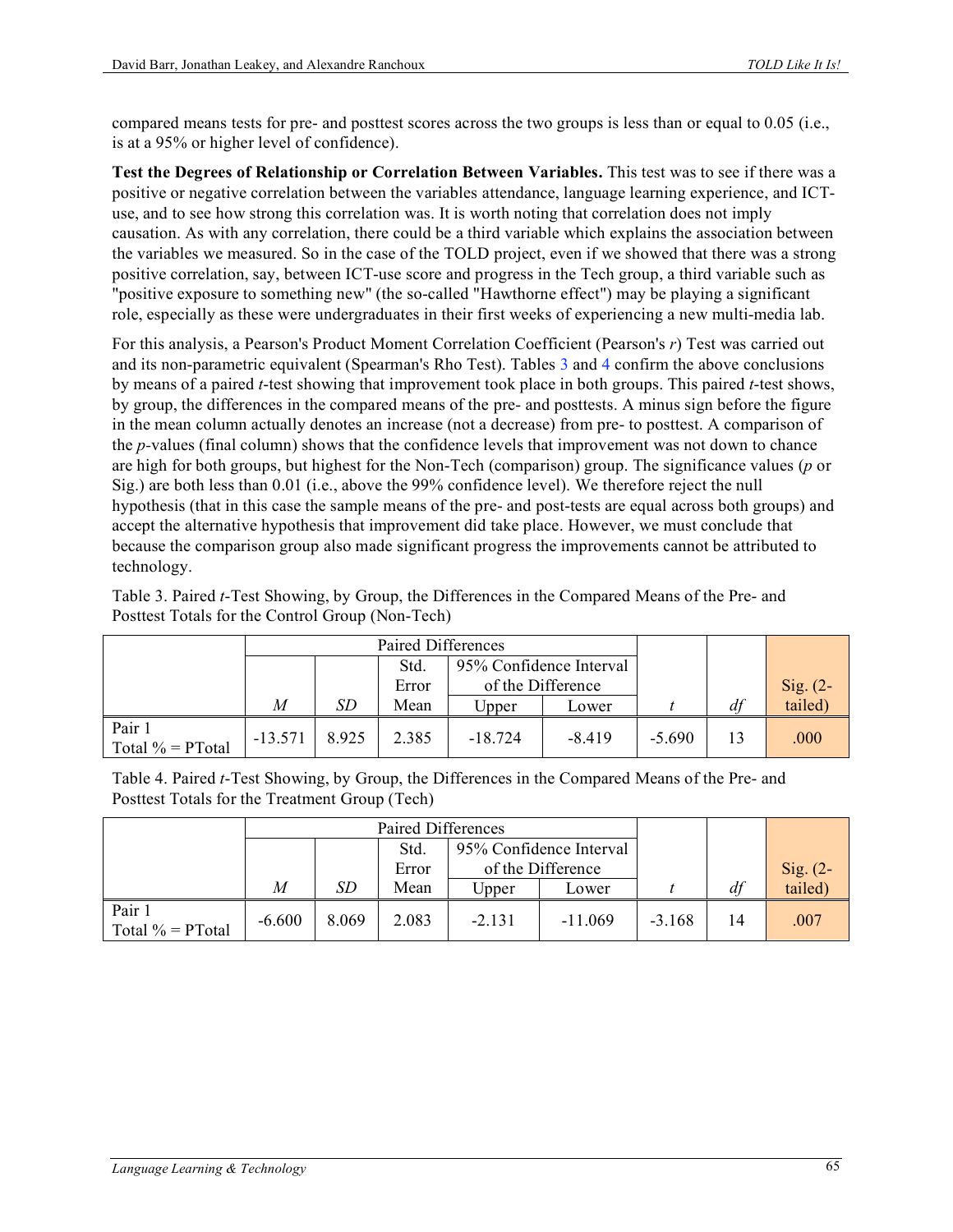compared means tests for pre- and posttest scores across the two groups is less than or equal to 0.05 (i.e., is at a 95% or higher level of confidence).

**Test the Degrees of Relationship or Correlation Between Variables.** This test was to see if there was a positive or negative correlation between the variables attendance, language learning experience, and ICTuse, and to see how strong this correlation was. It is worth noting that correlation does not imply causation. As with any correlation, there could be a third variable which explains the association between the variables we measured. So in the case of the TOLD project, even if we showed that there was a strong positive correlation, say, between ICT-use score and progress in the Tech group, a third variable such as "positive exposure to something new" (the so-called "Hawthorne effect") may be playing a significant role, especially as these were undergraduates in their first weeks of experiencing a new multi-media lab.

For this analysis, a Pearson's Product Moment Correlation Coefficient (Pearson's *r*) Test was carried out and its non-parametric equivalent (Spearman's Rho Test). Tables 3 and 4 confirm the above conclusions by means of a paired *t*-test showing that improvement took place in both groups. This paired *t*-test shows, by group, the differences in the compared means of the pre- and posttests. A minus sign before the figure in the mean column actually denotes an increase (not a decrease) from pre- to posttest. A comparison of the *p-*values (final column) shows that the confidence levels that improvement was not down to chance are high for both groups, but highest for the Non-Tech (comparison) group. The significance values (*p* or Sig.) are both less than 0.01 (i.e., above the 99% confidence level). We therefore reject the null hypothesis (that in this case the sample means of the pre- and post-tests are equal across both groups) and accept the alternative hypothesis that improvement did take place. However, we must conclude that because the comparison group also made significant progress the improvements cannot be attributed to technology.

Table 3. Paired *t*-Test Showing, by Group, the Differences in the Compared Means of the Pre- and Posttest Totals for the Control Group (Non-Tech)

|                               |           |       | Paired Differences              |                   |          |          |    |            |
|-------------------------------|-----------|-------|---------------------------------|-------------------|----------|----------|----|------------|
|                               |           |       | 95% Confidence Interval<br>Std. |                   |          |          |    |            |
|                               |           |       | Error                           | of the Difference |          |          |    | $Sig. (2-$ |
|                               | M         | SD    | Mean                            | Upper             | Lower    |          | df | tailed)    |
| Pair 1<br>Total $\%$ = PTotal | $-13.571$ | 8.925 | 2.385                           | $-18.724$         | $-8.419$ | $-5.690$ | 13 | .000       |

Table 4. Paired *t*-Test Showing, by Group, the Differences in the Compared Means of the Pre- and Posttest Totals for the Treatment Group (Tech)

|                               |          | Paired Differences |                                 |                   |           |          |    |            |
|-------------------------------|----------|--------------------|---------------------------------|-------------------|-----------|----------|----|------------|
|                               |          |                    | 95% Confidence Interval<br>Std. |                   |           |          |    |            |
|                               |          |                    | Error                           | of the Difference |           |          |    | $Sig. (2-$ |
|                               | M        | SD                 | Mean                            | Upper             | Lower     |          | df | tailed)    |
| Pair 1<br>Total $\%$ = PTotal | $-6.600$ | 8.069              | 2.083                           | $-2.131$          | $-11.069$ | $-3.168$ | 14 | .007       |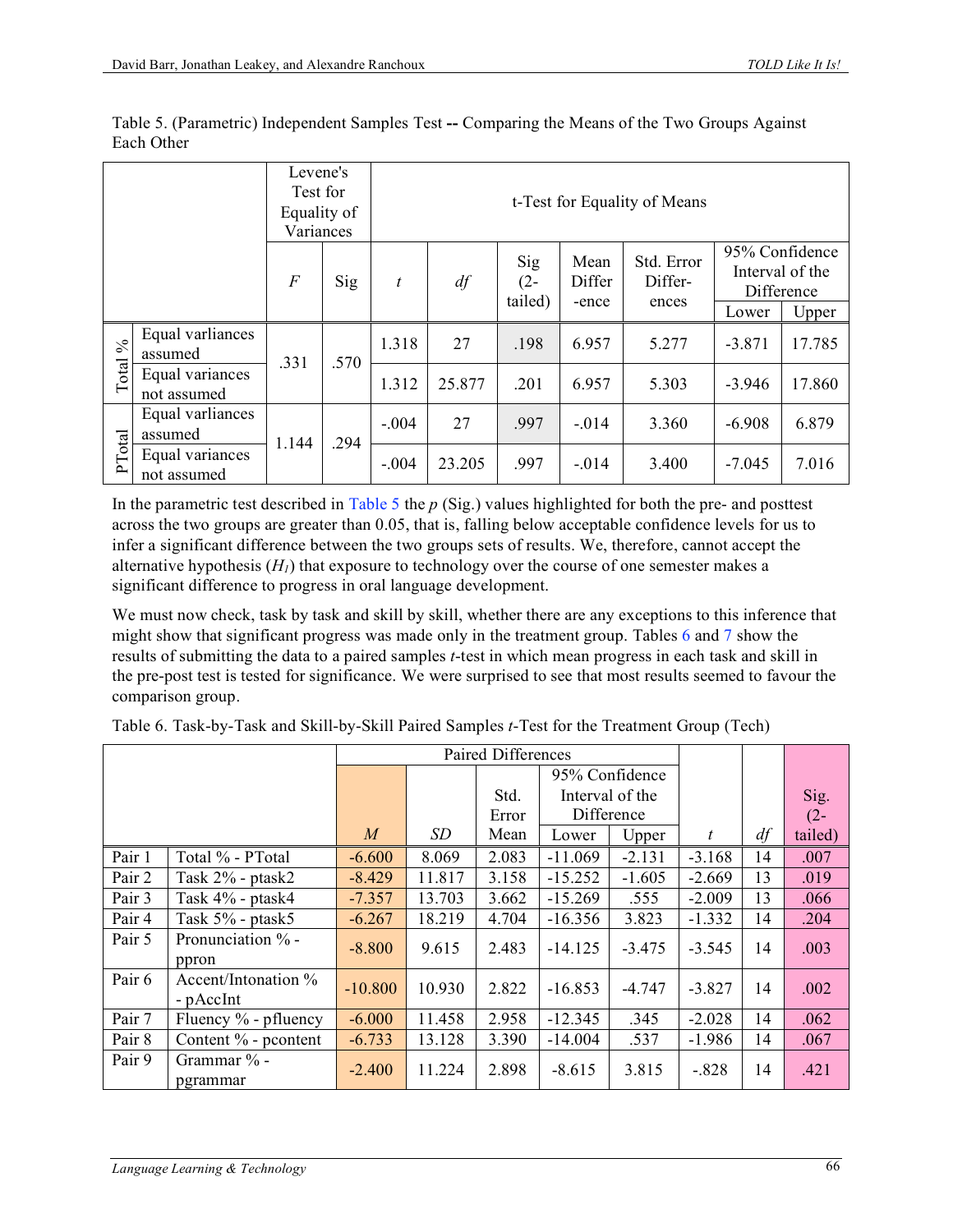| Levene's<br>Test for<br>Equality of<br>Variances |                                |          |      | t-Test for Equality of Means |        |                          |                         |                                |                |                               |  |  |
|--------------------------------------------------|--------------------------------|----------|------|------------------------------|--------|--------------------------|-------------------------|--------------------------------|----------------|-------------------------------|--|--|
|                                                  |                                | $\cal F$ | Sig  | t                            | df     | Sig<br>$(2 -$<br>tailed) | Mean<br>Differ<br>-ence | Std. Error<br>Differ-<br>ences | 95% Confidence | Interval of the<br>Difference |  |  |
|                                                  |                                |          |      |                              |        |                          |                         |                                | Lower          | Upper                         |  |  |
| $\mathcal{S}_{\mathbf{0}}$                       | Equal varliances<br>assumed    | .331     | .570 | 1.318                        | 27     | .198                     | 6.957                   | 5.277                          | $-3.871$       | 17.785                        |  |  |
| Total                                            | Equal variances<br>not assumed |          |      | 1.312                        | 25.877 | .201                     | 6.957                   | 5.303                          | $-3.946$       | 17.860                        |  |  |
|                                                  | Equal varliances<br>assumed    | 1.144    | .294 | $-.004$                      | 27     | .997                     | $-.014$                 | 3.360                          | $-6.908$       | 6.879                         |  |  |
| PTotal                                           | Equal variances<br>not assumed |          |      | $-.004$                      | 23.205 | .997                     | $-.014$                 | 3.400                          | $-7.045$       | 7.016                         |  |  |

Table 5. (Parametric) Independent Samples Test **--** Comparing the Means of the Two Groups Against Each Other

In the parametric test described in Table 5 the *p* (Sig.) values highlighted for both the pre- and posttest across the two groups are greater than 0.05, that is, falling below acceptable confidence levels for us to infer a significant difference between the two groups sets of results. We, therefore, cannot accept the alternative hypothesis  $(H<sub>1</sub>)$  that exposure to technology over the course of one semester makes a significant difference to progress in oral language development.

We must now check, task by task and skill by skill, whether there are any exceptions to this inference that might show that significant progress was made only in the treatment group. Tables 6 and 7 show the results of submitting the data to a paired samples *t*-test in which mean progress in each task and skill in the pre-post test is tested for significance. We were surprised to see that most results seemed to favour the comparison group.

|        |                                  | Paired Differences |        |       |                 |                |          |    |         |
|--------|----------------------------------|--------------------|--------|-------|-----------------|----------------|----------|----|---------|
|        |                                  |                    |        |       |                 | 95% Confidence |          |    |         |
|        |                                  |                    |        | Std.  | Interval of the |                |          |    | Sig.    |
|        |                                  |                    |        | Error | Difference      |                |          |    | $(2 -$  |
|        |                                  | $\boldsymbol{M}$   | SD     | Mean  | Lower           | Upper          | t        | df | tailed) |
| Pair 1 | Total % - PTotal                 | $-6.600$           | 8.069  | 2.083 | $-11.069$       | $-2.131$       | $-3.168$ | 14 | .007    |
| Pair 2 | Task 2% - ptask2                 | $-8.429$           | 11.817 | 3.158 | $-15.252$       | $-1.605$       | $-2.669$ | 13 | .019    |
| Pair 3 | Task 4% - ptask4                 | $-7.357$           | 13.703 | 3.662 | $-15.269$       | .555           | $-2.009$ | 13 | .066    |
| Pair 4 | Task $5\%$ - ptask $5$           | $-6.267$           | 18.219 | 4.704 | $-16.356$       | 3.823          | $-1.332$ | 14 | .204    |
| Pair 5 | Pronunciation % -<br>ppron       | $-8.800$           | 9.615  | 2.483 | $-14.125$       | $-3.475$       | $-3.545$ | 14 | .003    |
| Pair 6 | Accent/Intonation %<br>- pAccInt | $-10.800$          | 10.930 | 2.822 | $-16.853$       | $-4.747$       | $-3.827$ | 14 | .002    |
| Pair 7 | Fluency $\%$ - pfluency          | $-6.000$           | 11.458 | 2.958 | $-12.345$       | .345           | $-2.028$ | 14 | .062    |
| Pair 8 | Content % - pcontent             | $-6.733$           | 13.128 | 3.390 | $-14.004$       | .537           | $-1.986$ | 14 | .067    |
| Pair 9 | Grammar % -<br>pgrammar          | $-2.400$           | 11.224 | 2.898 | $-8.615$        | 3.815          | $-.828$  | 14 | .421    |

Table 6. Task-by-Task and Skill-by-Skill Paired Samples *t*-Test for the Treatment Group (Tech)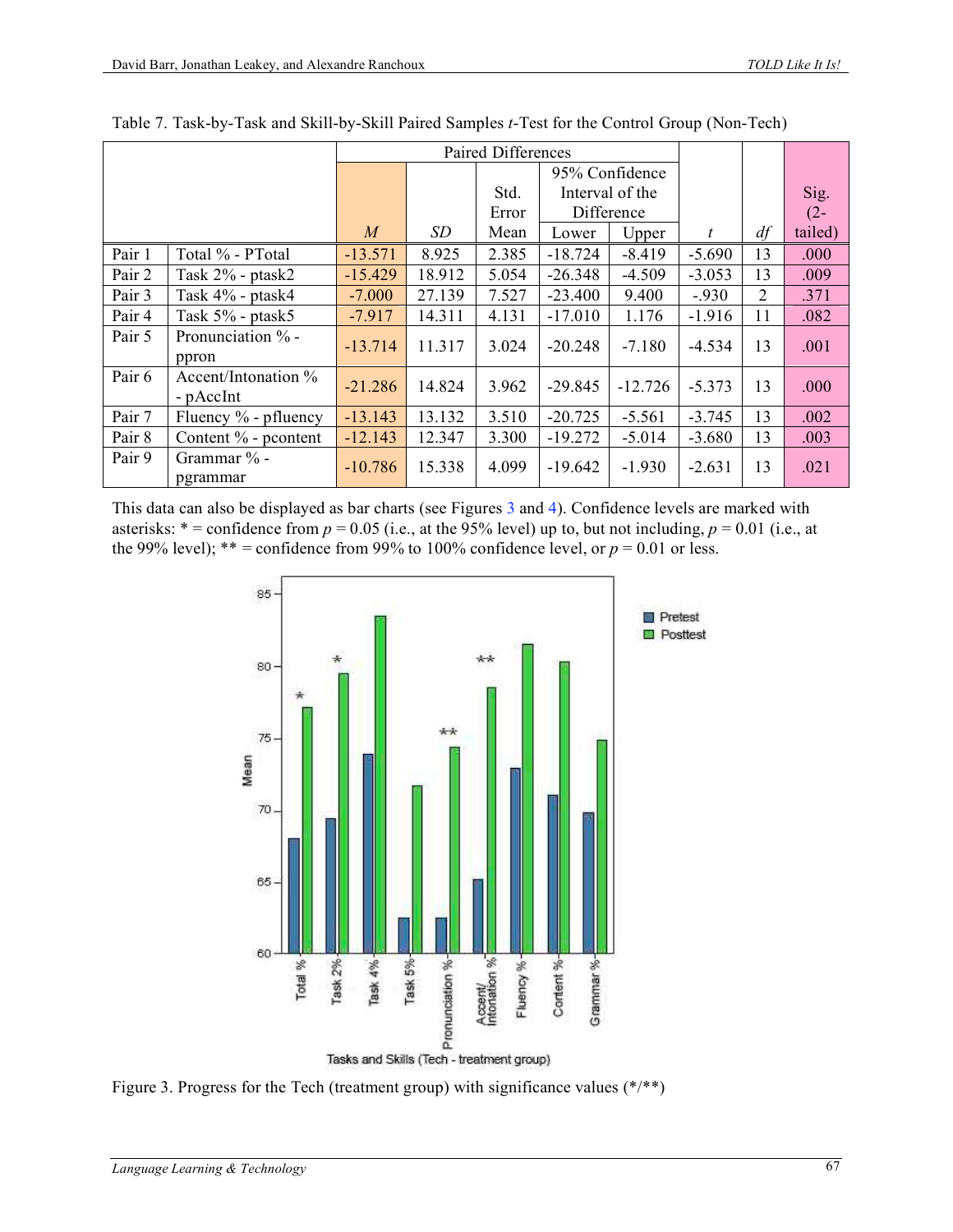|        |                                  | Paired Differences |        |       |                 |                |          |    |         |
|--------|----------------------------------|--------------------|--------|-------|-----------------|----------------|----------|----|---------|
|        |                                  |                    |        |       |                 | 95% Confidence |          |    |         |
|        |                                  |                    |        | Std.  | Interval of the |                |          |    | Sig.    |
|        |                                  |                    |        | Error | Difference      |                |          |    | $(2 -$  |
|        |                                  | $\boldsymbol{M}$   | SD     | Mean  | Lower           | Upper          | t        | df | tailed) |
| Pair 1 | Total % - PTotal                 | $-13.571$          | 8.925  | 2.385 | $-18.724$       | $-8.419$       | $-5.690$ | 13 | .000    |
| Pair 2 | Task 2% - ptask2                 | $-15.429$          | 18.912 | 5.054 | $-26.348$       | $-4.509$       | $-3.053$ | 13 | .009    |
| Pair 3 | Task 4% - ptask4                 | $-7.000$           | 27.139 | 7.527 | $-23.400$       | 9.400          | $-.930$  | 2  | .371    |
| Pair 4 | Task 5% - ptask5                 | $-7.917$           | 14.311 | 4.131 | $-17.010$       | 1.176          | $-1.916$ | 11 | .082    |
| Pair 5 | Pronunciation % -<br>ppron       | $-13.714$          | 11.317 | 3.024 | $-20.248$       | $-7.180$       | $-4.534$ | 13 | .001    |
| Pair 6 | Accent/Intonation %<br>- pAccInt | $-21.286$          | 14.824 | 3.962 | $-29.845$       | $-12.726$      | $-5.373$ | 13 | .000    |
| Pair 7 | Fluency $\%$ - pfluency          | $-13.143$          | 13.132 | 3.510 | $-20.725$       | $-5.561$       | $-3.745$ | 13 | .002    |
| Pair 8 | Content % - pcontent             | $-12.143$          | 12.347 | 3.300 | $-19.272$       | $-5.014$       | $-3.680$ | 13 | .003    |
| Pair 9 | Grammar % -<br>pgrammar          | $-10.786$          | 15.338 | 4.099 | $-19.642$       | $-1.930$       | $-2.631$ | 13 | .021    |

Table 7. Task-by-Task and Skill-by-Skill Paired Samples *t*-Test for the Control Group (Non-Tech)

This data can also be displayed as bar charts (see Figures 3 and 4). Confidence levels are marked with asterisks:  $* =$  confidence from  $p = 0.05$  (i.e., at the 95% level) up to, but not including,  $p = 0.01$  (i.e., at the 99% level);  $** =$  confidence from 99% to 100% confidence level, or  $p = 0.01$  or less.



Figure 3. Progress for the Tech (treatment group) with significance values  $(*/**)$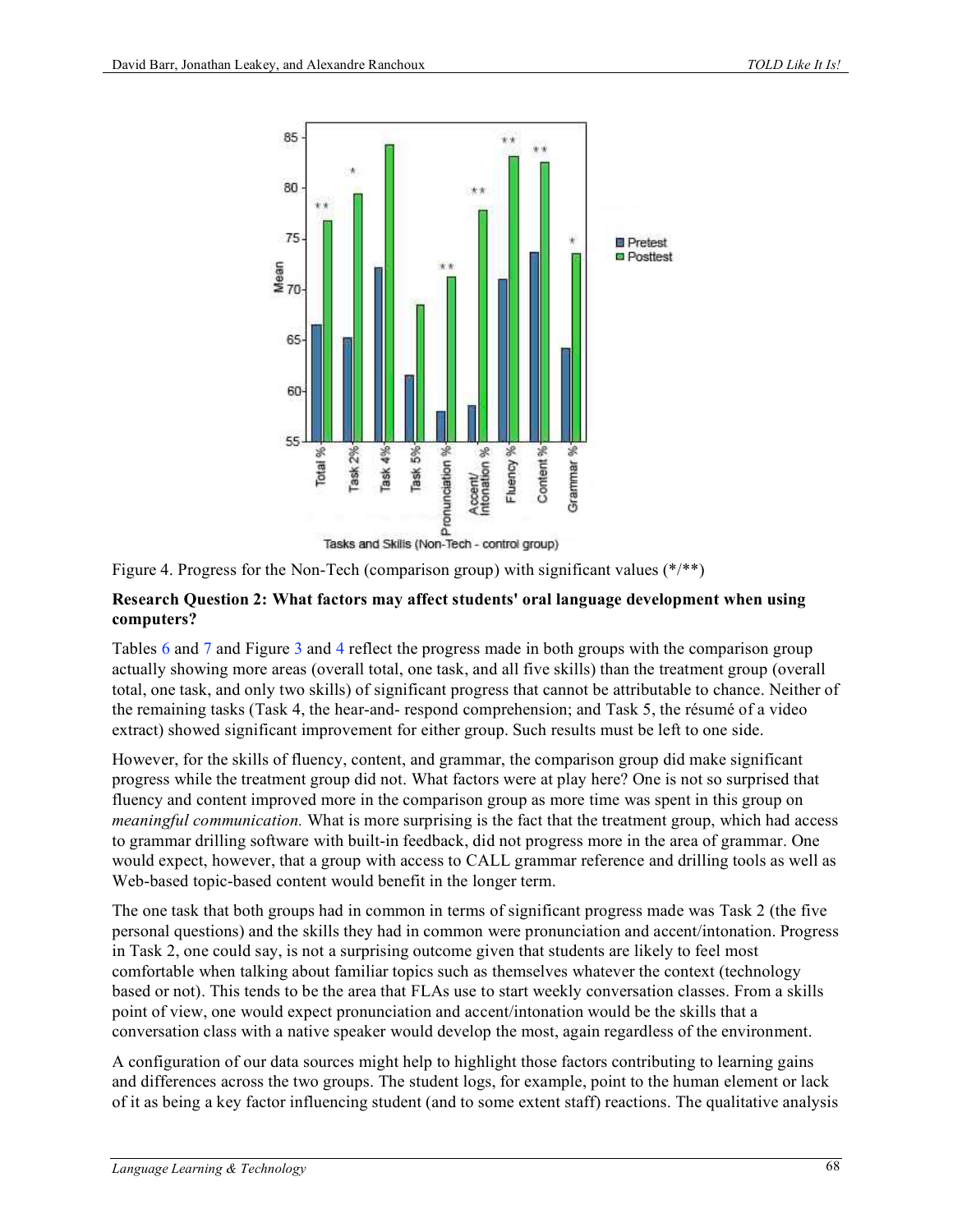

Figure 4. Progress for the Non-Tech (comparison group) with significant values  $(*/**)$ 

### **Research Question 2: What factors may affect students' oral language development when using computers?**

Tables 6 and 7 and Figure 3 and 4 reflect the progress made in both groups with the comparison group actually showing more areas (overall total, one task, and all five skills) than the treatment group (overall total, one task, and only two skills) of significant progress that cannot be attributable to chance. Neither of the remaining tasks (Task 4, the hear-and- respond comprehension; and Task 5, the résumé of a video extract) showed significant improvement for either group. Such results must be left to one side.

However, for the skills of fluency, content, and grammar, the comparison group did make significant progress while the treatment group did not. What factors were at play here? One is not so surprised that fluency and content improved more in the comparison group as more time was spent in this group on *meaningful communication.* What is more surprising is the fact that the treatment group, which had access to grammar drilling software with built-in feedback, did not progress more in the area of grammar. One would expect, however, that a group with access to CALL grammar reference and drilling tools as well as Web-based topic-based content would benefit in the longer term.

The one task that both groups had in common in terms of significant progress made was Task 2 (the five personal questions) and the skills they had in common were pronunciation and accent/intonation. Progress in Task 2, one could say, is not a surprising outcome given that students are likely to feel most comfortable when talking about familiar topics such as themselves whatever the context (technology based or not). This tends to be the area that FLAs use to start weekly conversation classes. From a skills point of view, one would expect pronunciation and accent/intonation would be the skills that a conversation class with a native speaker would develop the most, again regardless of the environment.

A configuration of our data sources might help to highlight those factors contributing to learning gains and differences across the two groups. The student logs, for example, point to the human element or lack of it as being a key factor influencing student (and to some extent staff) reactions. The qualitative analysis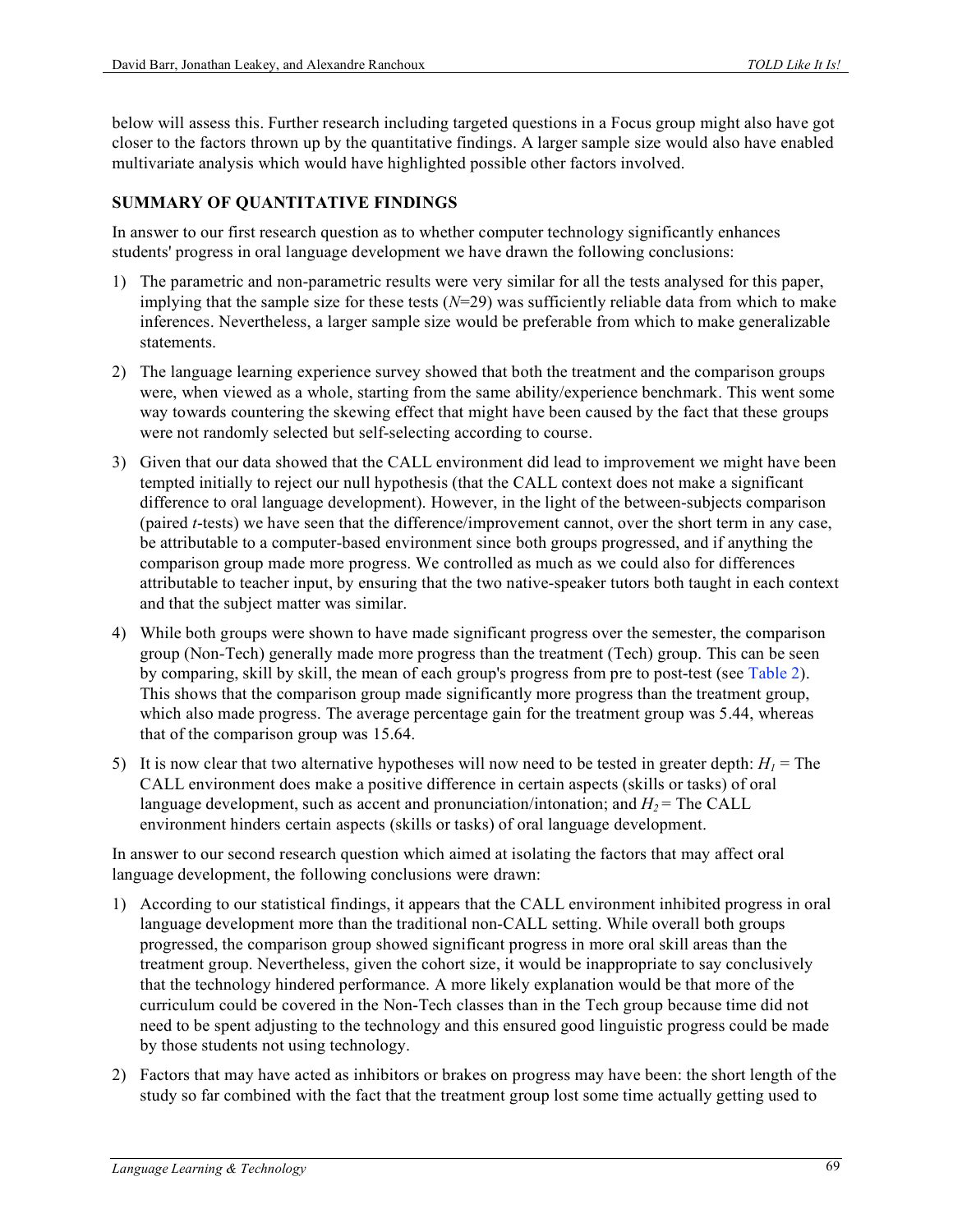below will assess this. Further research including targeted questions in a Focus group might also have got closer to the factors thrown up by the quantitative findings. A larger sample size would also have enabled multivariate analysis which would have highlighted possible other factors involved.

### **SUMMARY OF QUANTITATIVE FINDINGS**

In answer to our first research question as to whether computer technology significantly enhances students' progress in oral language development we have drawn the following conclusions:

- 1) The parametric and non-parametric results were very similar for all the tests analysed for this paper, implying that the sample size for these tests (*N*=29) was sufficiently reliable data from which to make inferences. Nevertheless, a larger sample size would be preferable from which to make generalizable statements.
- 2) The language learning experience survey showed that both the treatment and the comparison groups were, when viewed as a whole, starting from the same ability/experience benchmark. This went some way towards countering the skewing effect that might have been caused by the fact that these groups were not randomly selected but self-selecting according to course.
- 3) Given that our data showed that the CALL environment did lead to improvement we might have been tempted initially to reject our null hypothesis (that the CALL context does not make a significant difference to oral language development). However, in the light of the between-subjects comparison (paired *t*-tests) we have seen that the difference/improvement cannot, over the short term in any case, be attributable to a computer-based environment since both groups progressed, and if anything the comparison group made more progress. We controlled as much as we could also for differences attributable to teacher input, by ensuring that the two native-speaker tutors both taught in each context and that the subject matter was similar.
- 4) While both groups were shown to have made significant progress over the semester, the comparison group (Non-Tech) generally made more progress than the treatment (Tech) group. This can be seen by comparing, skill by skill, the mean of each group's progress from pre to post-test (see Table 2). This shows that the comparison group made significantly more progress than the treatment group, which also made progress. The average percentage gain for the treatment group was 5.44, whereas that of the comparison group was 15.64.
- 5) It is now clear that two alternative hypotheses will now need to be tested in greater depth:  $H_1$  = The CALL environment does make a positive difference in certain aspects (skills or tasks) of oral language development, such as accent and pronunciation/intonation; and  $H_2$  = The CALL environment hinders certain aspects (skills or tasks) of oral language development.

In answer to our second research question which aimed at isolating the factors that may affect oral language development, the following conclusions were drawn:

- 1) According to our statistical findings, it appears that the CALL environment inhibited progress in oral language development more than the traditional non-CALL setting. While overall both groups progressed, the comparison group showed significant progress in more oral skill areas than the treatment group. Nevertheless, given the cohort size, it would be inappropriate to say conclusively that the technology hindered performance. A more likely explanation would be that more of the curriculum could be covered in the Non-Tech classes than in the Tech group because time did not need to be spent adjusting to the technology and this ensured good linguistic progress could be made by those students not using technology.
- 2) Factors that may have acted as inhibitors or brakes on progress may have been: the short length of the study so far combined with the fact that the treatment group lost some time actually getting used to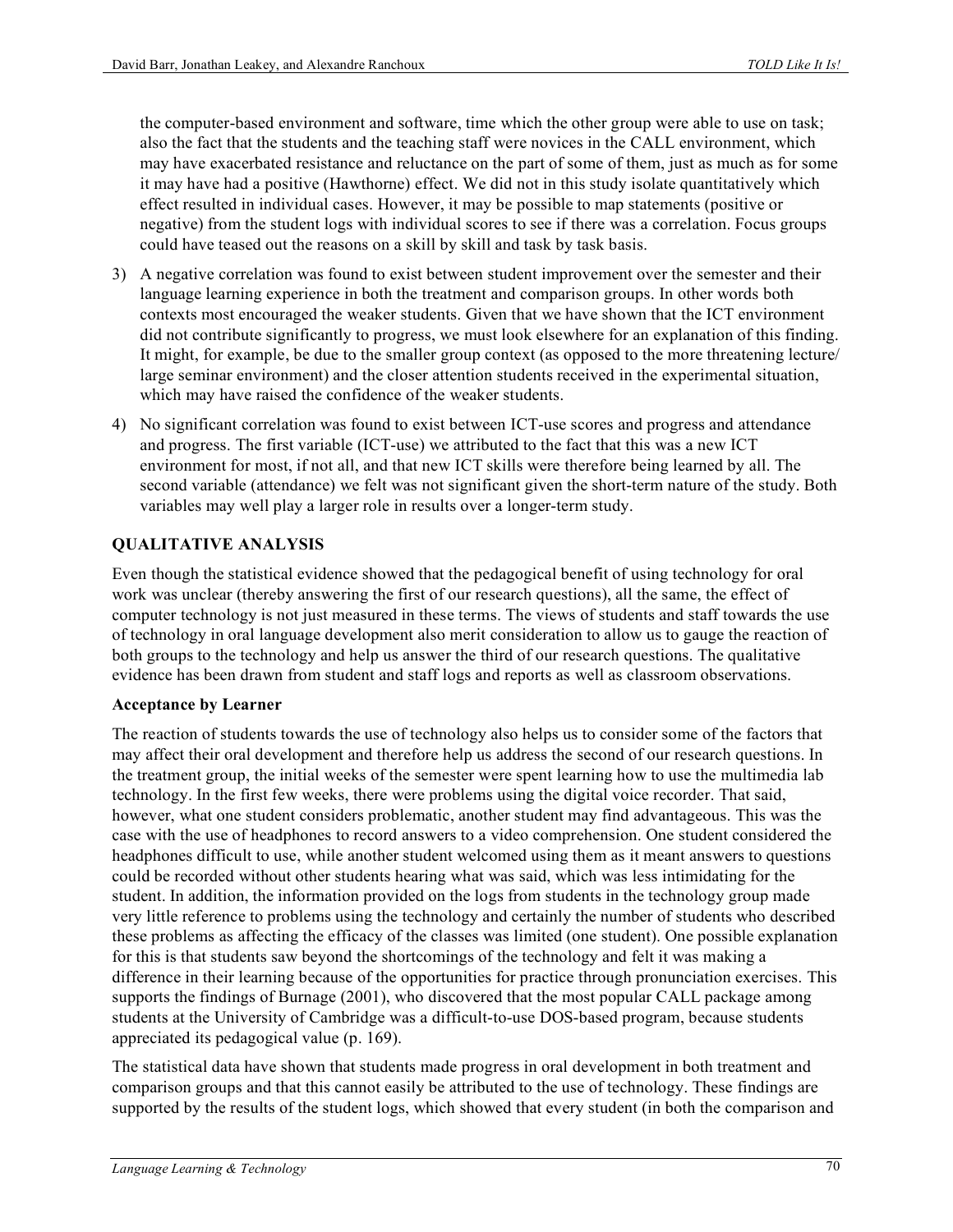the computer-based environment and software, time which the other group were able to use on task; also the fact that the students and the teaching staff were novices in the CALL environment, which may have exacerbated resistance and reluctance on the part of some of them, just as much as for some it may have had a positive (Hawthorne) effect. We did not in this study isolate quantitatively which effect resulted in individual cases. However, it may be possible to map statements (positive or negative) from the student logs with individual scores to see if there was a correlation. Focus groups could have teased out the reasons on a skill by skill and task by task basis.

- 3) A negative correlation was found to exist between student improvement over the semester and their language learning experience in both the treatment and comparison groups. In other words both contexts most encouraged the weaker students. Given that we have shown that the ICT environment did not contribute significantly to progress, we must look elsewhere for an explanation of this finding. It might, for example, be due to the smaller group context (as opposed to the more threatening lecture/ large seminar environment) and the closer attention students received in the experimental situation, which may have raised the confidence of the weaker students.
- 4) No significant correlation was found to exist between ICT-use scores and progress and attendance and progress. The first variable (ICT-use) we attributed to the fact that this was a new ICT environment for most, if not all, and that new ICT skills were therefore being learned by all. The second variable (attendance) we felt was not significant given the short-term nature of the study. Both variables may well play a larger role in results over a longer-term study.

### **QUALITATIVE ANALYSIS**

Even though the statistical evidence showed that the pedagogical benefit of using technology for oral work was unclear (thereby answering the first of our research questions), all the same, the effect of computer technology is not just measured in these terms. The views of students and staff towards the use of technology in oral language development also merit consideration to allow us to gauge the reaction of both groups to the technology and help us answer the third of our research questions. The qualitative evidence has been drawn from student and staff logs and reports as well as classroom observations.

#### **Acceptance by Learner**

The reaction of students towards the use of technology also helps us to consider some of the factors that may affect their oral development and therefore help us address the second of our research questions. In the treatment group, the initial weeks of the semester were spent learning how to use the multimedia lab technology. In the first few weeks, there were problems using the digital voice recorder. That said, however, what one student considers problematic, another student may find advantageous. This was the case with the use of headphones to record answers to a video comprehension. One student considered the headphones difficult to use, while another student welcomed using them as it meant answers to questions could be recorded without other students hearing what was said, which was less intimidating for the student. In addition, the information provided on the logs from students in the technology group made very little reference to problems using the technology and certainly the number of students who described these problems as affecting the efficacy of the classes was limited (one student). One possible explanation for this is that students saw beyond the shortcomings of the technology and felt it was making a difference in their learning because of the opportunities for practice through pronunciation exercises. This supports the findings of Burnage (2001), who discovered that the most popular CALL package among students at the University of Cambridge was a difficult-to-use DOS-based program, because students appreciated its pedagogical value (p. 169).

The statistical data have shown that students made progress in oral development in both treatment and comparison groups and that this cannot easily be attributed to the use of technology. These findings are supported by the results of the student logs, which showed that every student (in both the comparison and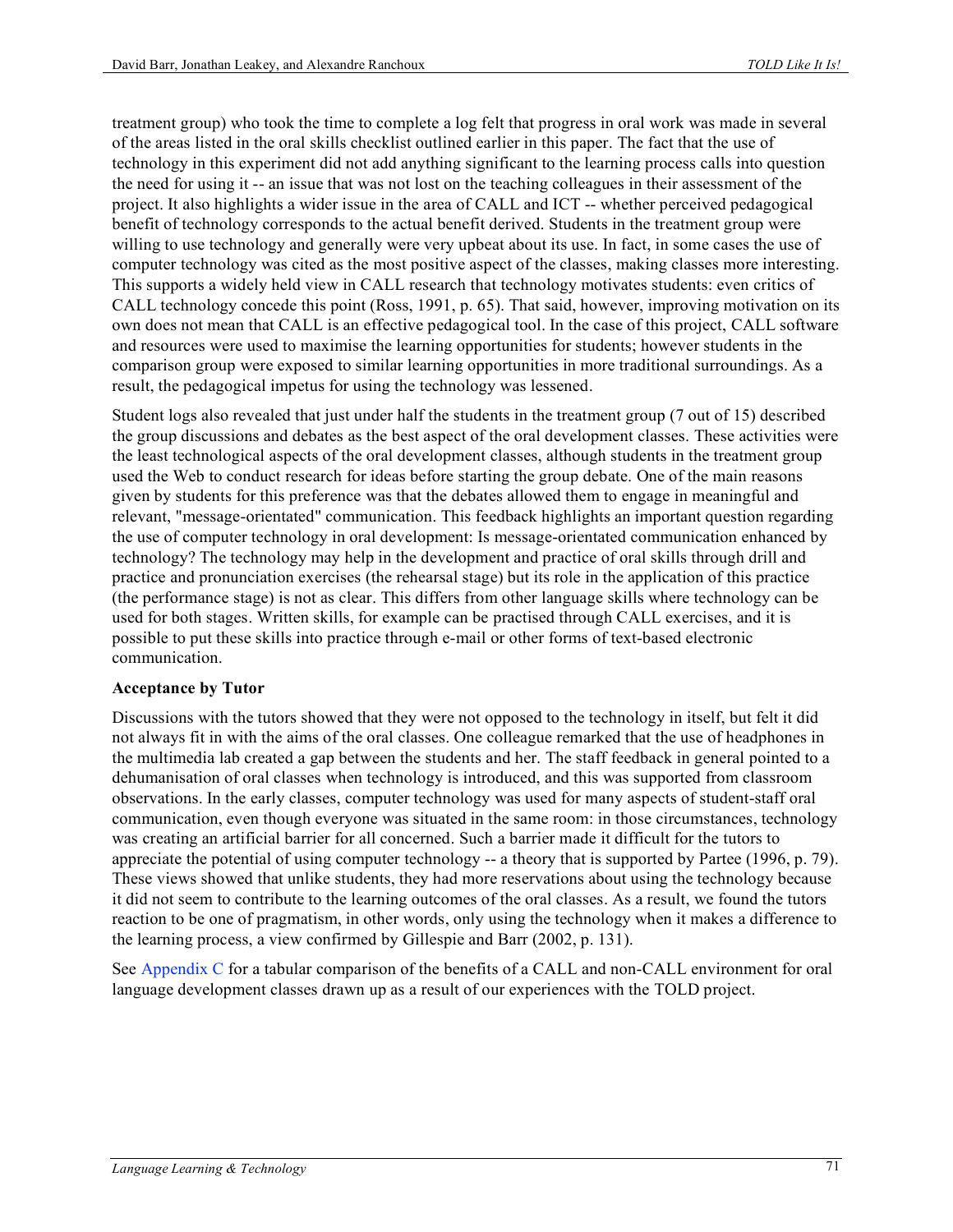treatment group) who took the time to complete a log felt that progress in oral work was made in several of the areas listed in the oral skills checklist outlined earlier in this paper. The fact that the use of technology in this experiment did not add anything significant to the learning process calls into question the need for using it -- an issue that was not lost on the teaching colleagues in their assessment of the project. It also highlights a wider issue in the area of CALL and ICT -- whether perceived pedagogical benefit of technology corresponds to the actual benefit derived. Students in the treatment group were willing to use technology and generally were very upbeat about its use. In fact, in some cases the use of computer technology was cited as the most positive aspect of the classes, making classes more interesting. This supports a widely held view in CALL research that technology motivates students: even critics of CALL technology concede this point (Ross, 1991, p. 65). That said, however, improving motivation on its own does not mean that CALL is an effective pedagogical tool. In the case of this project, CALL software and resources were used to maximise the learning opportunities for students; however students in the comparison group were exposed to similar learning opportunities in more traditional surroundings. As a result, the pedagogical impetus for using the technology was lessened.

Student logs also revealed that just under half the students in the treatment group (7 out of 15) described the group discussions and debates as the best aspect of the oral development classes. These activities were the least technological aspects of the oral development classes, although students in the treatment group used the Web to conduct research for ideas before starting the group debate. One of the main reasons given by students for this preference was that the debates allowed them to engage in meaningful and relevant, "message-orientated" communication. This feedback highlights an important question regarding the use of computer technology in oral development: Is message-orientated communication enhanced by technology? The technology may help in the development and practice of oral skills through drill and practice and pronunciation exercises (the rehearsal stage) but its role in the application of this practice (the performance stage) is not as clear. This differs from other language skills where technology can be used for both stages. Written skills, for example can be practised through CALL exercises, and it is possible to put these skills into practice through e-mail or other forms of text-based electronic communication.

#### **Acceptance by Tutor**

Discussions with the tutors showed that they were not opposed to the technology in itself, but felt it did not always fit in with the aims of the oral classes. One colleague remarked that the use of headphones in the multimedia lab created a gap between the students and her. The staff feedback in general pointed to a dehumanisation of oral classes when technology is introduced, and this was supported from classroom observations. In the early classes, computer technology was used for many aspects of student-staff oral communication, even though everyone was situated in the same room: in those circumstances, technology was creating an artificial barrier for all concerned. Such a barrier made it difficult for the tutors to appreciate the potential of using computer technology -- a theory that is supported by Partee (1996, p. 79). These views showed that unlike students, they had more reservations about using the technology because it did not seem to contribute to the learning outcomes of the oral classes. As a result, we found the tutors reaction to be one of pragmatism, in other words, only using the technology when it makes a difference to the learning process, a view confirmed by Gillespie and Barr (2002, p. 131).

See Appendix C for a tabular comparison of the benefits of a CALL and non-CALL environment for oral language development classes drawn up as a result of our experiences with the TOLD project.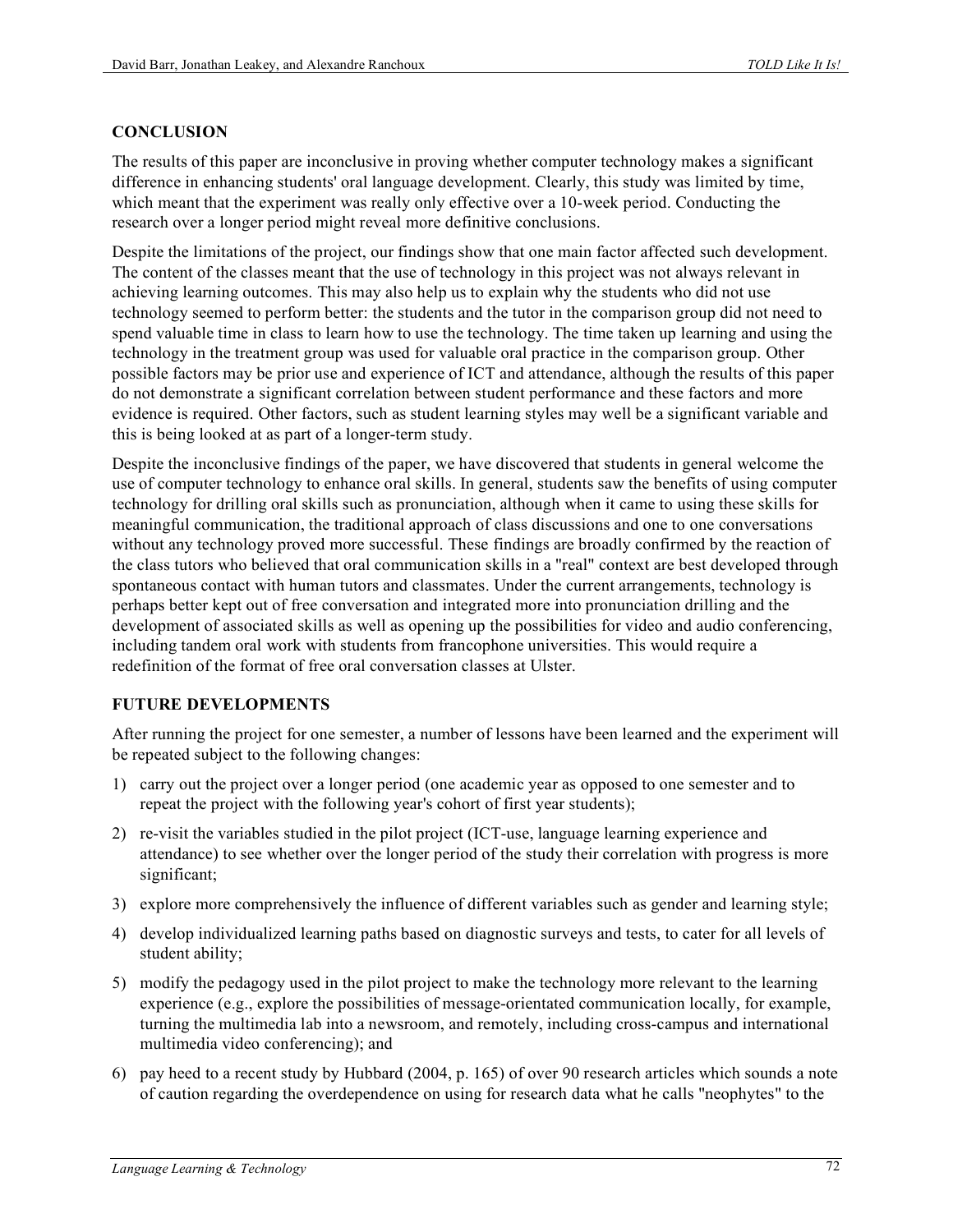### **CONCLUSION**

The results of this paper are inconclusive in proving whether computer technology makes a significant difference in enhancing students' oral language development. Clearly, this study was limited by time, which meant that the experiment was really only effective over a 10-week period. Conducting the research over a longer period might reveal more definitive conclusions.

Despite the limitations of the project, our findings show that one main factor affected such development. The content of the classes meant that the use of technology in this project was not always relevant in achieving learning outcomes. This may also help us to explain why the students who did not use technology seemed to perform better: the students and the tutor in the comparison group did not need to spend valuable time in class to learn how to use the technology. The time taken up learning and using the technology in the treatment group was used for valuable oral practice in the comparison group. Other possible factors may be prior use and experience of ICT and attendance, although the results of this paper do not demonstrate a significant correlation between student performance and these factors and more evidence is required. Other factors, such as student learning styles may well be a significant variable and this is being looked at as part of a longer-term study.

Despite the inconclusive findings of the paper, we have discovered that students in general welcome the use of computer technology to enhance oral skills. In general, students saw the benefits of using computer technology for drilling oral skills such as pronunciation, although when it came to using these skills for meaningful communication, the traditional approach of class discussions and one to one conversations without any technology proved more successful. These findings are broadly confirmed by the reaction of the class tutors who believed that oral communication skills in a "real" context are best developed through spontaneous contact with human tutors and classmates. Under the current arrangements, technology is perhaps better kept out of free conversation and integrated more into pronunciation drilling and the development of associated skills as well as opening up the possibilities for video and audio conferencing, including tandem oral work with students from francophone universities. This would require a redefinition of the format of free oral conversation classes at Ulster.

### **FUTURE DEVELOPMENTS**

After running the project for one semester, a number of lessons have been learned and the experiment will be repeated subject to the following changes:

- 1) carry out the project over a longer period (one academic year as opposed to one semester and to repeat the project with the following year's cohort of first year students);
- 2) re-visit the variables studied in the pilot project (ICT-use, language learning experience and attendance) to see whether over the longer period of the study their correlation with progress is more significant;
- 3) explore more comprehensively the influence of different variables such as gender and learning style;
- 4) develop individualized learning paths based on diagnostic surveys and tests, to cater for all levels of student ability;
- 5) modify the pedagogy used in the pilot project to make the technology more relevant to the learning experience (e.g., explore the possibilities of message-orientated communication locally, for example, turning the multimedia lab into a newsroom, and remotely, including cross-campus and international multimedia video conferencing); and
- 6) pay heed to a recent study by Hubbard (2004, p. 165) of over 90 research articles which sounds a note of caution regarding the overdependence on using for research data what he calls "neophytes" to the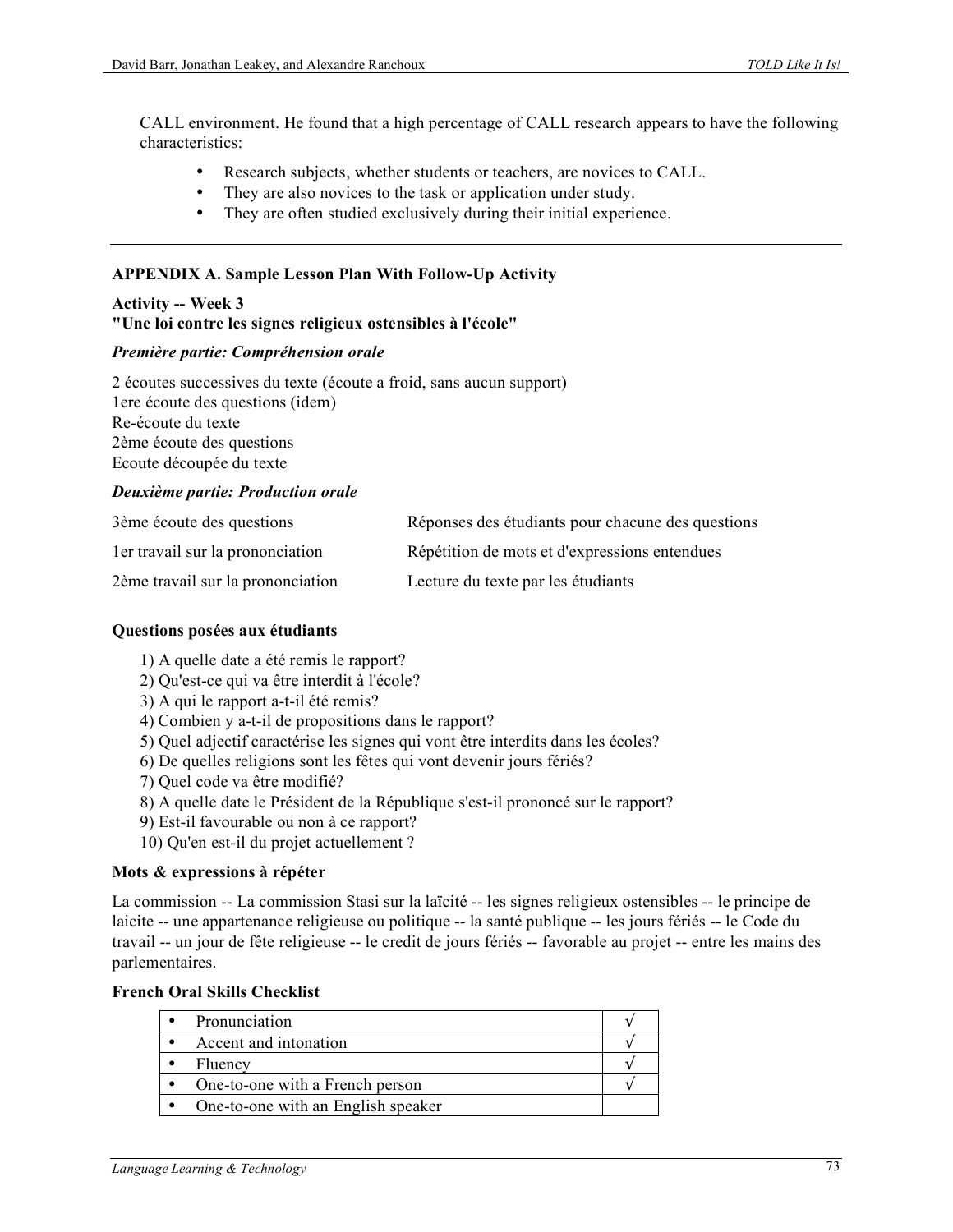CALL environment. He found that a high percentage of CALL research appears to have the following characteristics:

- Research subjects, whether students or teachers, are novices to CALL.
- They are also novices to the task or application under study.
- They are often studied exclusively during their initial experience.

#### **APPENDIX A. Sample Lesson Plan With Follow-Up Activity**

### **Activity -- Week 3 "Une loi contre les signes religieux ostensibles à l'école"**

#### *Première partie: Compréhension orale*

2 écoutes successives du texte (écoute a froid, sans aucun support) 1ere écoute des questions (idem) Re-écoute du texte 2ème écoute des questions Ecoute découpée du texte

#### *Deuxième partie: Production orale*

| 3ème écoute des questions         | Réponses des étudiants pour chacune des questions |
|-----------------------------------|---------------------------------------------------|
| ler travail sur la prononciation  | Répétition de mots et d'expressions entendues     |
| 2ème travail sur la prononciation | Lecture du texte par les étudiants                |

#### **Questions posées aux étudiants**

- 1) A quelle date a été remis le rapport?
- 2) Qu'est-ce qui va être interdit à l'école?
- 3) A qui le rapport a-t-il été remis?
- 4) Combien y a-t-il de propositions dans le rapport?
- 5) Quel adjectif caractérise les signes qui vont être interdits dans les écoles?
- 6) De quelles religions sont les fêtes qui vont devenir jours fériés?
- 7) Quel code va être modifié?
- 8) A quelle date le Président de la République s'est-il prononcé sur le rapport?
- 9) Est-il favourable ou non à ce rapport?
- 10) Qu'en est-il du projet actuellement ?

### **Mots & expressions à répéter**

La commission -- La commission Stasi sur la laïcité -- les signes religieux ostensibles -- le principe de laicite -- une appartenance religieuse ou politique -- la santé publique -- les jours fériés -- le Code du travail -- un jour de fête religieuse -- le credit de jours fériés -- favorable au projet -- entre les mains des parlementaires.

#### **French Oral Skills Checklist**

| Pronunciation                      |  |
|------------------------------------|--|
| Accent and intonation              |  |
| Fluency                            |  |
| One-to-one with a French person    |  |
| One-to-one with an English speaker |  |
|                                    |  |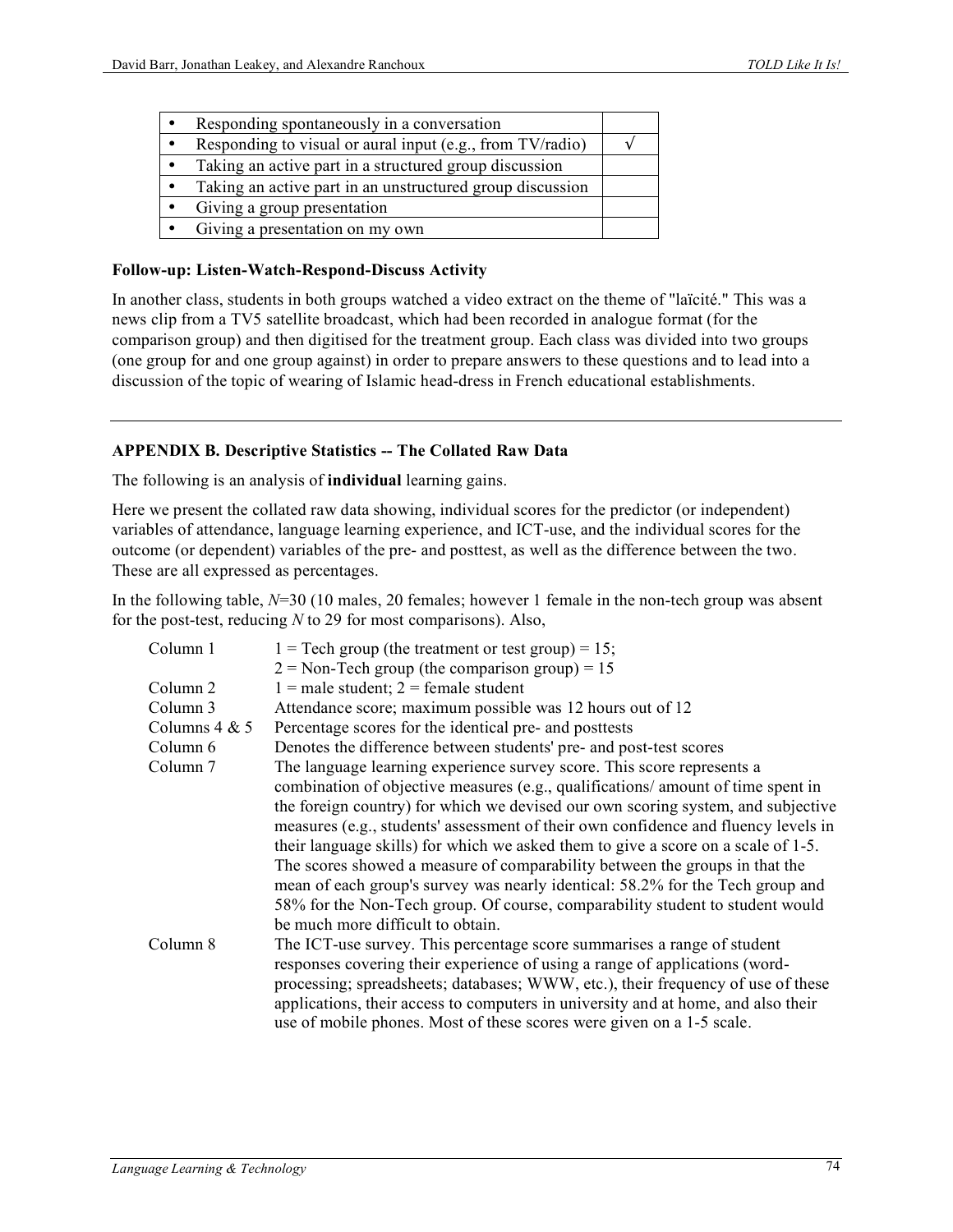| Responding spontaneously in a conversation                |  |
|-----------------------------------------------------------|--|
| Responding to visual or aural input (e.g., from TV/radio) |  |
| Taking an active part in a structured group discussion    |  |
| Taking an active part in an unstructured group discussion |  |
| Giving a group presentation                               |  |
| Giving a presentation on my own                           |  |

#### **Follow-up: Listen-Watch-Respond-Discuss Activity**

In another class, students in both groups watched a video extract on the theme of "laïcité." This was a news clip from a TV5 satellite broadcast, which had been recorded in analogue format (for the comparison group) and then digitised for the treatment group. Each class was divided into two groups (one group for and one group against) in order to prepare answers to these questions and to lead into a discussion of the topic of wearing of Islamic head-dress in French educational establishments.

#### **APPENDIX B. Descriptive Statistics -- The Collated Raw Data**

The following is an analysis of **individual** learning gains.

Here we present the collated raw data showing, individual scores for the predictor (or independent) variables of attendance, language learning experience, and ICT-use, and the individual scores for the outcome (or dependent) variables of the pre- and posttest, as well as the difference between the two. These are all expressed as percentages.

In the following table,  $N=30$  (10 males, 20 females; however 1 female in the non-tech group was absent for the post-test, reducing *N* to 29 for most comparisons). Also,

| Column 1            | $1 =$ Tech group (the treatment or test group) = 15;                               |
|---------------------|------------------------------------------------------------------------------------|
|                     | $2 =$ Non-Tech group (the comparison group) = 15                                   |
| Column 2            | $1 =$ male student; $2 =$ female student                                           |
| Column 3            | Attendance score; maximum possible was 12 hours out of 12                          |
| Columns $4 & 5$     | Percentage scores for the identical pre- and posttests                             |
| Column 6            | Denotes the difference between students' pre- and post-test scores                 |
| Column <sub>7</sub> | The language learning experience survey score. This score represents a             |
|                     | combination of objective measures (e.g., qualifications/ amount of time spent in   |
|                     | the foreign country) for which we devised our own scoring system, and subjective   |
|                     | measures (e.g., students' assessment of their own confidence and fluency levels in |
|                     | their language skills) for which we asked them to give a score on a scale of 1-5.  |
|                     | The scores showed a measure of comparability between the groups in that the        |
|                     | mean of each group's survey was nearly identical: 58.2% for the Tech group and     |
|                     | 58% for the Non-Tech group. Of course, comparability student to student would      |
|                     | be much more difficult to obtain.                                                  |
| Column 8            | The ICT-use survey. This percentage score summarises a range of student            |
|                     | responses covering their experience of using a range of applications (word-        |
|                     | processing; spreadsheets; databases; WWW, etc.), their frequency of use of these   |
|                     | applications, their access to computers in university and at home, and also their  |
|                     | use of mobile phones. Most of these scores were given on a 1-5 scale.              |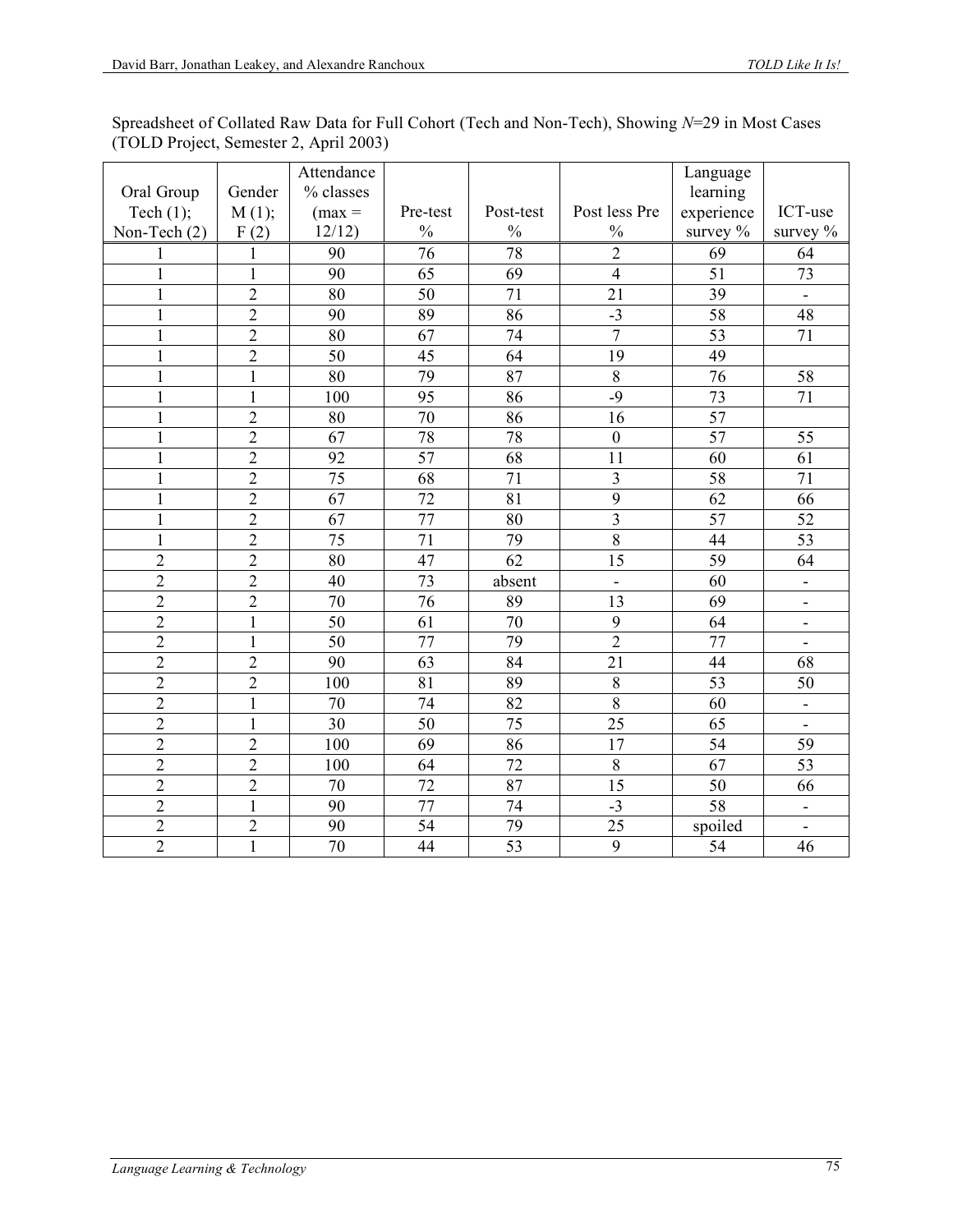| Spreadsheet of Collated Raw Data for Full Cohort (Tech and Non-Tech), Showing $N=29$ in Most Cases |  |  |  |
|----------------------------------------------------------------------------------------------------|--|--|--|
| (TOLD Project, Semester 2, April 2003)                                                             |  |  |  |

|                |                | Attendance      |                 |                 |                         | Language        |                              |
|----------------|----------------|-----------------|-----------------|-----------------|-------------------------|-----------------|------------------------------|
| Oral Group     | Gender         | % classes       |                 |                 |                         | learning        |                              |
| Tech $(1)$ ;   | M(1);          | $(max =$        | Pre-test        | Post-test       | Post less Pre           | experience      | ICT-use                      |
| Non-Tech (2)   | F(2)           | 12/12           | $\frac{0}{0}$   | $\frac{0}{0}$   | $\frac{0}{0}$           | survey $\%$     | survey %                     |
| 1              | 1              | 90              | 76              | $\overline{78}$ | $\overline{2}$          | 69              | 64                           |
| $\mathbf{1}$   | $\mathbf{1}$   | 90              | 65              | 69              | $\overline{4}$          | $\overline{51}$ | 73                           |
| $\mathbf{1}$   | $\overline{2}$ | 80              | 50              | 71              | 21                      | 39              | $\blacksquare$               |
| 1              | $\overline{2}$ | 90              | 89              | 86              | $-3$                    | 58              | 48                           |
| $\mathbf{1}$   | $\overline{2}$ | $\overline{80}$ | 67              | 74              | $\overline{7}$          | $\overline{53}$ | $\overline{71}$              |
| $\mathbf{1}$   | $\overline{2}$ | 50              | 45              | 64              | 19                      | 49              |                              |
| $\mathbf{1}$   | $\mathbf{1}$   | 80              | 79              | 87              | 8                       | 76              | 58                           |
| $\mathbf{1}$   | $\mathbf{1}$   | 100             | 95              | 86              | $-9$                    | 73              | 71                           |
| 1              | $\overline{2}$ | 80              | 70              | 86              | 16                      | 57              |                              |
| $\mathbf{1}$   | $\overline{c}$ | 67              | 78              | 78              | $\boldsymbol{0}$        | 57              | 55                           |
| $\mathbf{1}$   | $\overline{2}$ | 92              | 57              | 68              | 11                      | 60              | 61                           |
| $\mathbf{1}$   | $\overline{2}$ | 75              | 68              | 71              | $\overline{\mathbf{3}}$ | 58              | 71                           |
| $\mathbf{1}$   | $\overline{2}$ | $\overline{67}$ | 72              | 81              | $\overline{9}$          | 62              | 66                           |
| 1              | $\overline{2}$ | 67              | 77              | 80              | $\overline{3}$          | 57              | 52                           |
| $\mathbf{1}$   | $\overline{2}$ | 75              | 71              | 79              | $\overline{8}$          | 44              | 53                           |
| $\overline{2}$ | $\overline{2}$ | 80              | 47              | $\overline{62}$ | 15                      | $\overline{59}$ | 64                           |
| $\overline{2}$ | $\overline{2}$ | 40              | 73              | absent          | $\overline{a}$          | 60              | $\overline{\phantom{0}}$     |
| $\overline{c}$ | $\overline{2}$ | 70              | 76              | 89              | 13                      | 69              | $\overline{a}$               |
| $\overline{2}$ | $\mathbf{1}$   | 50              | 61              | 70              | 9                       | 64              | $\qquad \qquad \blacksquare$ |
| $\overline{c}$ | $\mathbf{1}$   | 50              | 77              | 79              | $\overline{2}$          | 77              | $\overline{\phantom{0}}$     |
| $\overline{2}$ | $\overline{2}$ | 90              | 63              | 84              | 21                      | 44              | 68                           |
| $\overline{2}$ | $\overline{2}$ | 100             | 81              | 89              | 8                       | 53              | 50                           |
| $\overline{2}$ | $\mathbf{1}$   | 70              | 74              | $\overline{82}$ | $\overline{8}$          | $\overline{60}$ | $\blacksquare$               |
| $\sqrt{2}$     | $\mathbf{1}$   | 30              | 50              | 75              | 25                      | 65              | $\overline{\phantom{0}}$     |
| $\overline{2}$ | $\overline{2}$ | 100             | 69              | 86              | 17                      | 54              | 59                           |
| $\overline{2}$ | $\overline{2}$ | 100             | 64              | 72              | $\overline{8}$          | 67              | 53                           |
| $\overline{2}$ | $\overline{2}$ | 70              | 72              | 87              | 15                      | 50              | 66                           |
| $\overline{c}$ | $\mathbf{1}$   | 90              | $\overline{77}$ | 74              | $-3$                    | $\overline{58}$ | $\overline{\phantom{0}}$     |
| $\overline{c}$ | $\overline{c}$ | 90              | 54              | 79              | 25                      | spoiled         | $\overline{\phantom{0}}$     |
| $\overline{2}$ | $\mathbf{1}$   | 70              | 44              | $\overline{53}$ | $\overline{9}$          | 54              | 46                           |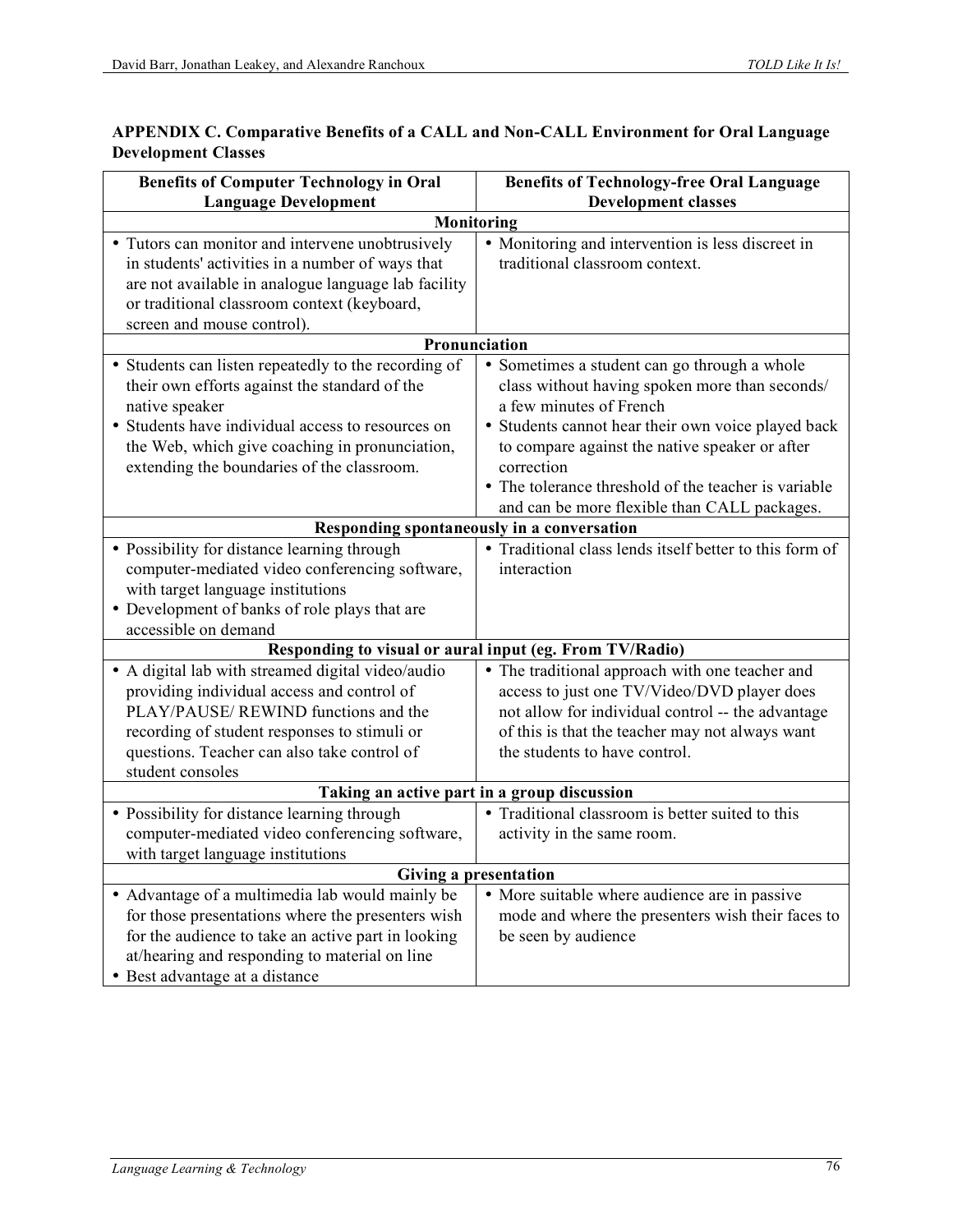| <b>Benefits of Computer Technology in Oral</b>       | <b>Benefits of Technology-free Oral Language</b>        |  |  |  |
|------------------------------------------------------|---------------------------------------------------------|--|--|--|
| <b>Language Development</b>                          | <b>Development classes</b>                              |  |  |  |
| <b>Monitoring</b>                                    |                                                         |  |  |  |
| • Tutors can monitor and intervene unobtrusively     | • Monitoring and intervention is less discreet in       |  |  |  |
| in students' activities in a number of ways that     | traditional classroom context.                          |  |  |  |
| are not available in analogue language lab facility  |                                                         |  |  |  |
| or traditional classroom context (keyboard,          |                                                         |  |  |  |
| screen and mouse control).                           |                                                         |  |  |  |
|                                                      | Pronunciation                                           |  |  |  |
| • Students can listen repeatedly to the recording of | • Sometimes a student can go through a whole            |  |  |  |
| their own efforts against the standard of the        | class without having spoken more than seconds/          |  |  |  |
| native speaker                                       | a few minutes of French                                 |  |  |  |
| • Students have individual access to resources on    | • Students cannot hear their own voice played back      |  |  |  |
| the Web, which give coaching in pronunciation,       | to compare against the native speaker or after          |  |  |  |
| extending the boundaries of the classroom.           | correction                                              |  |  |  |
|                                                      | • The tolerance threshold of the teacher is variable    |  |  |  |
|                                                      | and can be more flexible than CALL packages.            |  |  |  |
|                                                      | Responding spontaneously in a conversation              |  |  |  |
| • Possibility for distance learning through          | • Traditional class lends itself better to this form of |  |  |  |
| computer-mediated video conferencing software,       | interaction                                             |  |  |  |
| with target language institutions                    |                                                         |  |  |  |
| • Development of banks of role plays that are        |                                                         |  |  |  |
| accessible on demand                                 |                                                         |  |  |  |
|                                                      | Responding to visual or aural input (eg. From TV/Radio) |  |  |  |
| • A digital lab with streamed digital video/audio    | • The traditional approach with one teacher and         |  |  |  |
| providing individual access and control of           | access to just one TV/Video/DVD player does             |  |  |  |
| PLAY/PAUSE/ REWIND functions and the                 | not allow for individual control -- the advantage       |  |  |  |
| recording of student responses to stimuli or         | of this is that the teacher may not always want         |  |  |  |
| questions. Teacher can also take control of          | the students to have control.                           |  |  |  |
| student consoles                                     |                                                         |  |  |  |
|                                                      | Taking an active part in a group discussion             |  |  |  |
| • Possibility for distance learning through          | • Traditional classroom is better suited to this        |  |  |  |
| computer-mediated video conferencing software,       | activity in the same room.                              |  |  |  |
| with target language institutions                    |                                                         |  |  |  |
|                                                      | <b>Giving a presentation</b>                            |  |  |  |
| • Advantage of a multimedia lab would mainly be      | • More suitable where audience are in passive           |  |  |  |
| for those presentations where the presenters wish    | mode and where the presenters wish their faces to       |  |  |  |
| for the audience to take an active part in looking   | be seen by audience                                     |  |  |  |
| at/hearing and responding to material on line        |                                                         |  |  |  |
| • Best advantage at a distance                       |                                                         |  |  |  |

## **APPENDIX C. Comparative Benefits of a CALL and Non-CALL Environment for Oral Language Development Classes**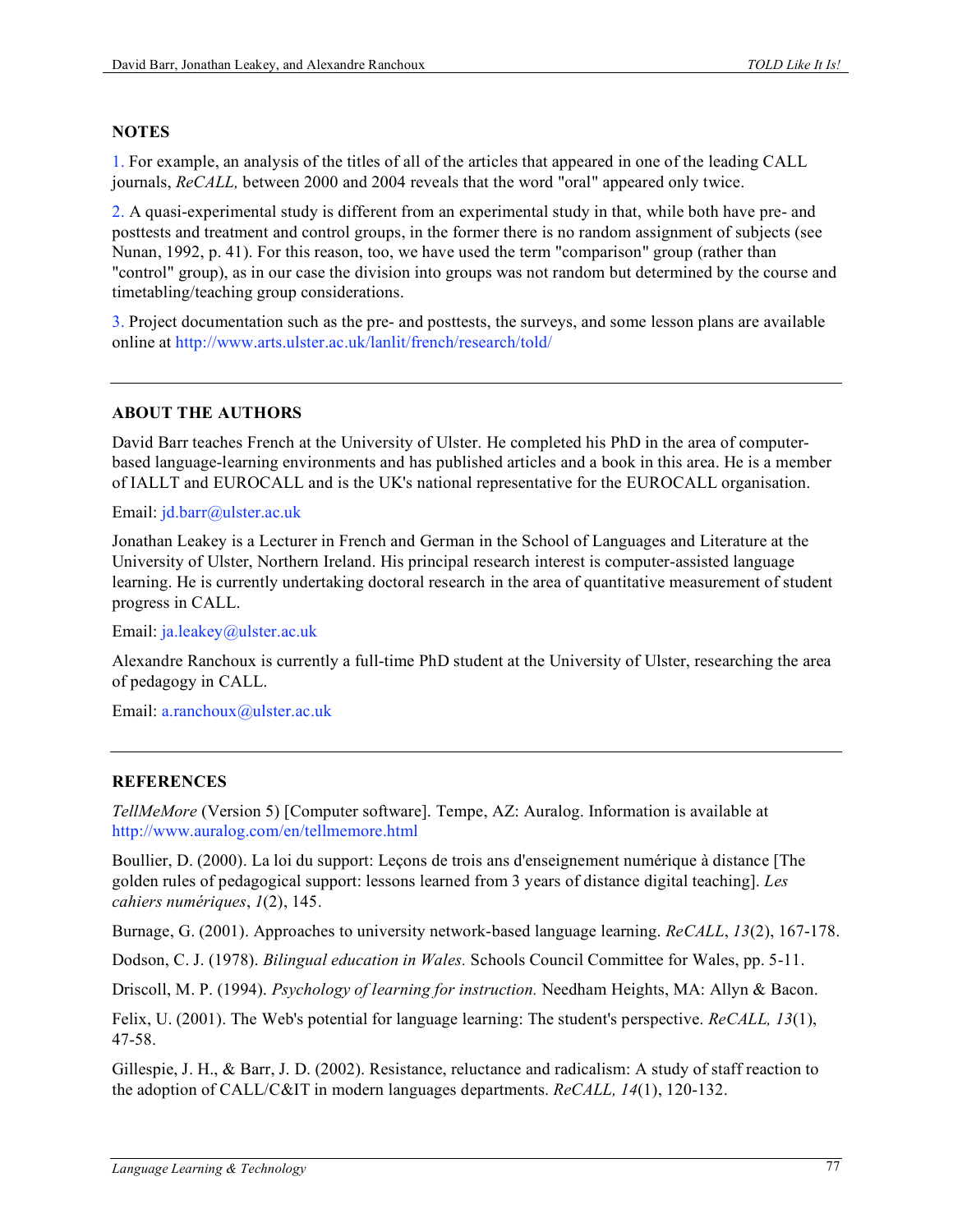### **NOTES**

1. For example, an analysis of the titles of all of the articles that appeared in one of the leading CALL journals, *ReCALL,* between 2000 and 2004 reveals that the word "oral" appeared only twice.

2. A quasi-experimental study is different from an experimental study in that, while both have pre- and posttests and treatment and control groups, in the former there is no random assignment of subjects (see Nunan, 1992, p. 41). For this reason, too, we have used the term "comparison" group (rather than "control" group), as in our case the division into groups was not random but determined by the course and timetabling/teaching group considerations.

3. Project documentation such as the pre- and posttests, the surveys, and some lesson plans are available online at http://www.arts.ulster.ac.uk/lanlit/french/research/told/

### **ABOUT THE AUTHORS**

David Barr teaches French at the University of Ulster. He completed his PhD in the area of computerbased language-learning environments and has published articles and a book in this area. He is a member of IALLT and EUROCALL and is the UK's national representative for the EUROCALL organisation.

Email: jd.barr@ulster.ac.uk

Jonathan Leakey is a Lecturer in French and German in the School of Languages and Literature at the University of Ulster, Northern Ireland. His principal research interest is computer-assisted language learning. He is currently undertaking doctoral research in the area of quantitative measurement of student progress in CALL.

Email: ja.leakey@ulster.ac.uk

Alexandre Ranchoux is currently a full-time PhD student at the University of Ulster, researching the area of pedagogy in CALL.

Email: a.ranchoux@ulster.ac.uk

#### **REFERENCES**

*TellMeMore* (Version 5) [Computer software]. Tempe, AZ: Auralog. Information is available at http://www.auralog.com/en/tellmemore.html

Boullier, D. (2000). La loi du support: Leçons de trois ans d'enseignement numérique à distance [The golden rules of pedagogical support: lessons learned from 3 years of distance digital teaching]. *Les cahiers numériques*, *1*(2), 145.

Burnage, G. (2001). Approaches to university network-based language learning. *ReCALL*, *13*(2), 167-178.

Dodson, C. J. (1978). *Bilingual education in Wales.* Schools Council Committee for Wales, pp. 5-11.

Driscoll, M. P. (1994). *Psychology of learning for instruction.* Needham Heights, MA: Allyn & Bacon.

Felix, U. (2001). The Web's potential for language learning: The student's perspective. *ReCALL, 13*(1), 47-58.

Gillespie, J. H., & Barr, J. D. (2002). Resistance, reluctance and radicalism: A study of staff reaction to the adoption of CALL/C&IT in modern languages departments. *ReCALL, 14*(1), 120-132.